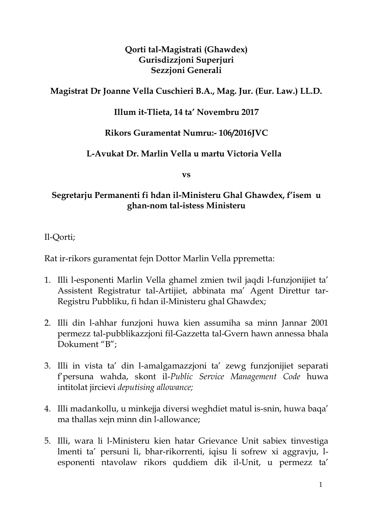### **Qorti tal-Magistrati (Ghawdex) Gurisdizzjoni Superjuri Sezzjoni Generali**

## **Magistrat Dr Joanne Vella Cuschieri B.A., Mag. Jur. (Eur. Law.) LL.D.**

## **Illum it-Tlieta, 14 ta' Novembru 2017**

## **Rikors Guramentat Numru:- 106/2016JVC**

### **L-Avukat Dr. Marlin Vella u martu Victoria Vella**

**vs**

### **Segretarju Permanenti fi hdan il-Ministeru Ghal Ghawdex, f'isem u ghan-nom tal-istess Ministeru**

Il-Qorti;

Rat ir-rikors guramentat fejn Dottor Marlin Vella ppremetta:

- 1. Illi l-esponenti Marlin Vella ghamel zmien twil jaqdi l-funzjonijiet ta' Assistent Registratur tal-Artijiet, abbinata ma' Agent Direttur tar-Registru Pubbliku, fi hdan il-Ministeru ghal Ghawdex;
- 2. Illi din l-ahhar funzjoni huwa kien assumiha sa minn Jannar 2001 permezz tal-pubblikazzjoni fil-Gazzetta tal-Gvern hawn annessa bhala Dokument "B";
- 3. Illi in vista ta' din l-amalgamazzjoni ta' zewg funzjonijiet separati f'persuna wahda, skont il-*Public Service Management Code* huwa intitolat jircievi *deputising allowance;*
- 4. Illi madankollu, u minkejja diversi weghdiet matul is-snin, huwa baqa' ma thallas xejn minn din l-allowance;
- 5. Illi, wara li l-Ministeru kien hatar Grievance Unit sabiex tinvestiga lmenti ta' persuni li, bhar-rikorrenti, iqisu li sofrew xi aggravju, lesponenti ntavolaw rikors quddiem dik il-Unit, u permezz ta'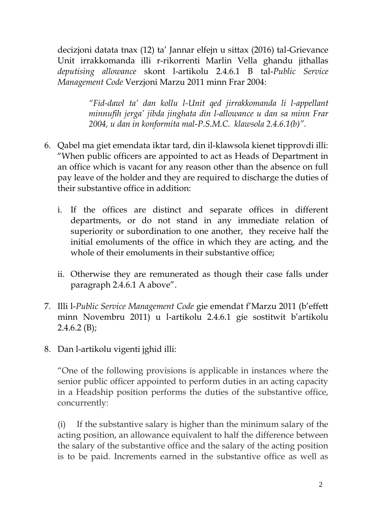decizjoni datata tnax (12) ta' Jannar elfejn u sittax (2016) tal-Grievance Unit irrakkomanda illi r-rikorrenti Marlin Vella ghandu jithallas *deputising allowance* skont l-artikolu 2.4.6.1 B tal-*Public Service Management Code* Verzjoni Marzu 2011 minn Frar 2004:

> *"Fid-dawl ta' dan kollu l-Unit qed jirrakkomanda li l-appellant minnufih jerga' jibda jinghata din l-allowance u dan sa minn Frar 2004, u dan in konformita mal-P.S.M.C. klawsola 2.4.6.1(b)".*

- 6. Qabel ma giet emendata iktar tard, din il-klawsola kienet tipprovdi illi: "When public officers are appointed to act as Heads of Department in an office which is vacant for any reason other than the absence on full pay leave of the holder and they are required to discharge the duties of their substantive office in addition:
	- i. If the offices are distinct and separate offices in different departments, or do not stand in any immediate relation of superiority or subordination to one another, they receive half the initial emoluments of the office in which they are acting, and the whole of their emoluments in their substantive office;
	- ii. Otherwise they are remunerated as though their case falls under paragraph 2.4.6.1 A above".
- 7. Illi l-*Public Service Management Code* gie emendat f'Marzu 2011 (b'effett minn Novembru 2011) u l-artikolu 2.4.6.1 gie sostitwit b'artikolu  $2.4.6.2$  (B);
- 8. Dan l-artikolu vigenti jghid illi:

"One of the following provisions is applicable in instances where the senior public officer appointed to perform duties in an acting capacity in a Headship position performs the duties of the substantive office, concurrently:

(i) If the substantive salary is higher than the minimum salary of the acting position, an allowance equivalent to half the difference between the salary of the substantive office and the salary of the acting position is to be paid. Increments earned in the substantive office as well as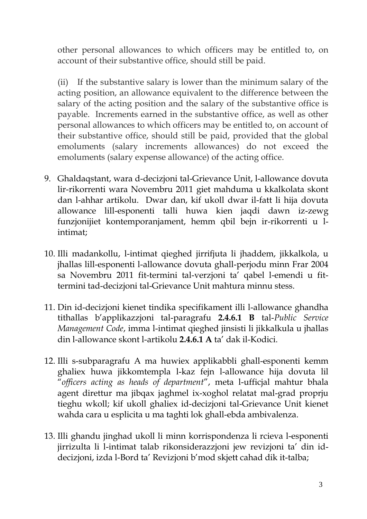other personal allowances to which officers may be entitled to, on account of their substantive office, should still be paid.

(ii) If the substantive salary is lower than the minimum salary of the acting position, an allowance equivalent to the difference between the salary of the acting position and the salary of the substantive office is payable. Increments earned in the substantive office, as well as other personal allowances to which officers may be entitled to, on account of their substantive office, should still be paid, provided that the global emoluments (salary increments allowances) do not exceed the emoluments (salary expense allowance) of the acting office.

- 9. Ghaldaqstant, wara d-decizjoni tal-Grievance Unit, l-allowance dovuta lir-rikorrenti wara Novembru 2011 giet mahduma u kkalkolata skont dan l-ahhar artikolu. Dwar dan, kif ukoll dwar il-fatt li hija dovuta allowance lill-esponenti talli huwa kien jaqdi dawn iz-zewg funzjonijiet kontemporanjament, hemm qbil bejn ir-rikorrenti u lintimat;
- 10. Illi madankollu, l-intimat qieghed jirrifjuta li jhaddem, jikkalkola, u jhallas lill-esponenti l-allowance dovuta ghall-perjodu minn Frar 2004 sa Novembru 2011 fit-termini tal-verzjoni ta' qabel l-emendi u fittermini tad-decizjoni tal-Grievance Unit mahtura minnu stess.
- 11. Din id-decizjoni kienet tindika specifikament illi l-allowance ghandha tithallas b'applikazzjoni tal-paragrafu **2.4.6.1 B** tal-*Public Service Management Code*, imma l-intimat qieghed jinsisti li jikkalkula u jhallas din l-allowance skont l-artikolu **2.4.6.1 A** ta' dak il-Kodici.
- 12. Illi s-subparagrafu A ma huwiex applikabbli ghall-esponenti kemm ghaliex huwa jikkomtempla l-kaz fejn l-allowance hija dovuta lil "*officers acting as heads of department*", meta l-ufficjal mahtur bhala agent direttur ma jibqax jaghmel ix-xoghol relatat mal-grad proprju tieghu wkoll; kif ukoll ghaliex id-decizjoni tal-Grievance Unit kienet wahda cara u esplicita u ma taghti lok ghall-ebda ambivalenza.
- 13. Illi ghandu jinghad ukoll li minn korrispondenza li rcieva l-esponenti jirrizulta li l-intimat talab rikonsiderazzjoni jew revizjoni ta' din iddecizjoni, izda l-Bord ta' Revizjoni b'mod skjett cahad dik it-talba;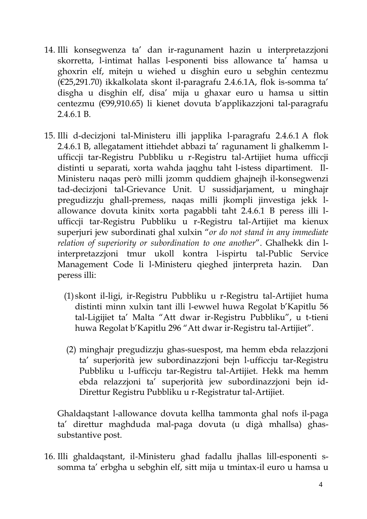- 14. Illi konsegwenza ta' dan ir-ragunament hazin u interpretazzjoni skorretta, l-intimat hallas l-esponenti biss allowance ta' hamsa u ghoxrin elf, mitejn u wiehed u disghin euro u sebghin centezmu (€25,291.70) ikkalkolata skont il-paragrafu 2.4.6.1A, flok is-somma ta' disgha u disghin elf, disa' mija u ghaxar euro u hamsa u sittin centezmu (€99,910.65) li kienet dovuta b'applikazzjoni tal-paragrafu 2.4.6.1 B.
- 15. Illi d-decizjoni tal-Ministeru illi japplika l-paragrafu 2.4.6.1 A flok 2.4.6.1 B, allegatament ittiehdet abbazi ta' ragunament li ghalkemm lufficcji tar-Registru Pubbliku u r-Registru tal-Artijiet huma ufficcji distinti u separati, xorta wahda jaqghu taht l-istess dipartiment. Il-Ministeru naqas però milli jzomm quddiem ghajnejh il-konsegwenzi tad-decizjoni tal-Grievance Unit. U sussidjarjament, u minghajr pregudizzju ghall-premess, naqas milli jkompli jinvestiga jekk lallowance dovuta kinitx xorta pagabbli taht 2.4.6.1 B peress illi lufficcji tar-Registru Pubbliku u r-Registru tal-Artijiet ma kienux superjuri jew subordinati ghal xulxin "*or do not stand in any immediate relation of superiority or subordination to one another*". Ghalhekk din linterpretazzjoni tmur ukoll kontra l-ispirtu tal-Public Service Management Code li l-Ministeru qieghed jinterpreta hazin. Dan peress illi:
	- (1) skont il-ligi, ir-Registru Pubbliku u r-Registru tal-Artijiet huma distinti minn xulxin tant illi l-ewwel huwa Regolat b'Kapitlu 56 tal-Ligijiet ta' Malta "Att dwar ir-Registru Pubbliku", u t-tieni huwa Regolat b'Kapitlu 296 "Att dwar ir-Registru tal-Artijiet".
	- (2) minghajr pregudizzju ghas-suespost, ma hemm ebda relazzjoni ta' superjorità jew subordinazzjoni bejn l-ufficcju tar-Registru Pubbliku u l-ufficcju tar-Registru tal-Artijiet. Hekk ma hemm ebda relazzjoni ta' superjorità jew subordinazzjoni bejn id-Direttur Registru Pubbliku u r-Registratur tal-Artijiet.

Ghaldaqstant l-allowance dovuta kellha tammonta ghal nofs il-paga ta' direttur maghduda mal-paga dovuta (u digà mhallsa) ghassubstantive post.

16. Illi ghaldaqstant, il-Ministeru ghad fadallu jhallas lill-esponenti ssomma ta' erbgha u sebghin elf, sitt mija u tmintax-il euro u hamsa u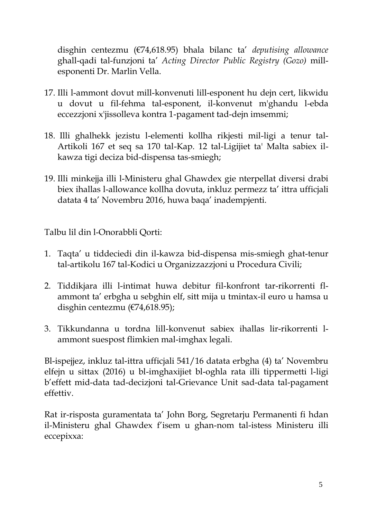disghin centezmu (€74,618.95) bhala bilanc ta' *deputising allowance* ghall-qadi tal-funzjoni ta' *Acting Director Public Registry (Gozo)* millesponenti Dr. Marlin Vella.

- 17. Illi l-ammont dovut mill-konvenuti lill-esponent hu dejn cert, likwidu u dovut u fil-fehma tal-esponent, il-konvenut m'ghandu l-ebda eccezzjoni x'jissolleva kontra 1-pagament tad-dejn imsemmi;
- 18. Illi ghalhekk jezistu l-elementi kollha rikjesti mil-ligi a tenur tal-Artikoli 167 et seq sa 170 tal-Kap. 12 tal-Ligijiet ta' Malta sabiex ilkawza tigi deciza bid-dispensa tas-smiegh;
- 19. Illi minkejja illi l-Ministeru ghal Ghawdex gie nterpellat diversi drabi biex ihallas l-allowance kollha dovuta, inkluz permezz ta' ittra ufficjali datata 4 ta' Novembru 2016, huwa baqa' inadempjenti.

Talbu lil din l-Onorabbli Qorti:

- 1. Taqta' u tiddeciedi din il-kawza bid-dispensa mis-smiegh ghat-tenur tal-artikolu 167 tal-Kodici u Organizzazzjoni u Procedura Civili;
- 2. Tiddikjara illi l-intimat huwa debitur fil-konfront tar-rikorrenti flammont ta' erbgha u sebghin elf, sitt mija u tmintax-il euro u hamsa u disghin centezmu (€74,618.95);
- 3. Tikkundanna u tordna lill-konvenut sabiex ihallas lir-rikorrenti lammont suespost flimkien mal-imghax legali.

Bl-ispejjez, inkluz tal-ittra ufficjali 541/16 datata erbgha (4) ta' Novembru elfejn u sittax (2016) u bl-imghaxijiet bl-oghla rata illi tippermetti l-ligi b'effett mid-data tad-decizjoni tal-Grievance Unit sad-data tal-pagament effettiv.

Rat ir-risposta guramentata ta' John Borg, Segretarju Permanenti fi hdan il-Ministeru ghal Ghawdex f'isem u ghan-nom tal-istess Ministeru illi eccepixxa: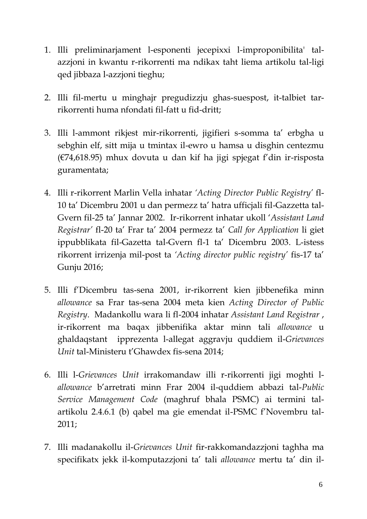- 1. Illi preliminarjament l-esponenti jecepixxi l-improponibilita' talazzjoni in kwantu r-rikorrenti ma ndikax taht liema artikolu tal-ligi qed jibbaza l-azzjoni tieghu;
- 2. Illi fil-mertu u minghajr pregudizzju ghas-suespost, it-talbiet tarrikorrenti huma nfondati fil-fatt u fid-dritt;
- 3. Illi l-ammont rikjest mir-rikorrenti, jigifieri s-somma ta' erbgha u sebghin elf, sitt mija u tmintax il-ewro u hamsa u disghin centezmu (€74,618.95) mhux dovuta u dan kif ha jigi spjegat f'din ir-risposta guramentata;
- 4. Illi r-rikorrent Marlin Vella inhatar *'Acting Director Public Registry'* fl-10 ta' Dicembru 2001 u dan permezz ta' hatra ufficjali fil-Gazzetta tal-Gvern fil-25 ta' Jannar 2002. Ir-rikorrent inhatar ukoll '*Assistant Land Registrar'* fl-20 ta' Frar ta' 2004 permezz ta' *Call for Application* li giet ippubblikata fil-Gazetta tal-Gvern fl-1 ta' Dicembru 2003. L-istess rikorrent irrizenja mil-post ta *'Acting director public registry'* fis-17 ta' Gunju 2016;
- 5. Illi f'Dicembru tas-sena 2001, ir-rikorrent kien jibbenefika minn *allowance* sa Frar tas-sena 2004 meta kien *Acting Director of Public Registry*. Madankollu wara li fl-2004 inhatar *Assistant Land Registrar* , ir-rikorrent ma baqax jibbenifika aktar minn tali *allowance* u ghaldaqstant ipprezenta l-allegat aggravju quddiem il-*Grievances Unit* tal-Ministeru t'Ghawdex fis-sena 2014;
- 6. Illi l-*Grievances Unit* irrakomandaw illi r-rikorrenti jigi moghti l*allowance* b'arretrati minn Frar 2004 il-quddiem abbazi tal-*Public Service Management Code* (maghruf bhala PSMC) ai termini talartikolu 2.4.6.1 (b) qabel ma gie emendat il-PSMC f'Novembru tal-2011;
- 7. Illi madanakollu il-*Grievances Unit* fir-rakkomandazzjoni taghha ma specifikatx jekk il-komputazzjoni ta' tali *allowance* mertu ta' din il-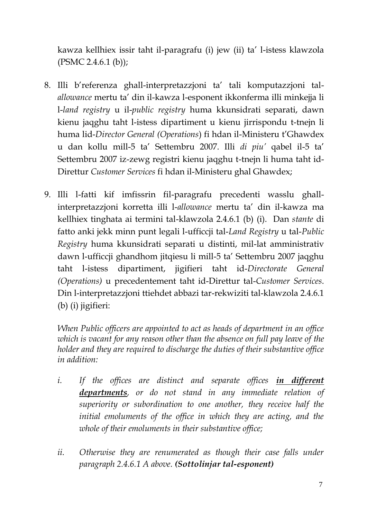kawza kellhiex issir taht il-paragrafu (i) jew (ii) ta' l-istess klawzola (PSMC 2.4.6.1 (b));

- 8. Illi b'referenza ghall-interpretazzjoni ta' tali komputazzjoni tal*allowance* mertu ta' din il-kawza l-esponent ikkonferma illi minkejja li l-*land registry* u il-*public registry* huma kkunsidrati separati, dawn kienu jaqghu taht l-istess dipartiment u kienu jirrispondu t-tnejn li huma lid-*Director General (Operations*) fi hdan il-Ministeru t'Ghawdex u dan kollu mill-5 ta' Settembru 2007. Illi *di piu'* qabel il-5 ta' Settembru 2007 iz-zewg registri kienu jaqghu t-tnejn li huma taht id-Direttur *Customer Services* fi hdan il-Ministeru ghal Ghawdex;
- 9. Illi l-fatti kif imfissrin fil-paragrafu precedenti wasslu ghallinterpretazzjoni korretta illi l-*allowance* mertu ta' din il-kawza ma kellhiex tinghata ai termini tal-klawzola 2.4.6.1 (b) (i). Dan *stante* di fatto anki jekk minn punt legali l-ufficcji tal-*Land Registry* u tal-*Public Registry* huma kkunsidrati separati u distinti, mil-lat amministrativ dawn l-ufficcji ghandhom jitqiesu li mill-5 ta' Settembru 2007 jaqghu taht l-istess dipartiment, jigifieri taht id-*Directorate General (Operations)* u precedentement taht id-Direttur tal-*Customer Services*. Din l-interpretazzjoni ttiehdet abbazi tar-rekwiziti tal-klawzola 2.4.6.1 (b) (i) jigifieri:

*When Public officers are appointed to act as heads of department in an office which is vacant for any reason other than the absence on full pay leave of the holder and they are required to discharge the duties of their substantive office in addition:*

- *i. If the offices are distinct and separate offices in different departments, or do not stand in any immediate relation of superiority or subordination to one another, they receive half the initial emoluments of the office in which they are acting, and the whole of their emoluments in their substantive office;*
- ii. Otherwise they are renumerated as though their case falls under *paragraph 2.4.6.1 A above. (Sottolinjar tal-esponent)*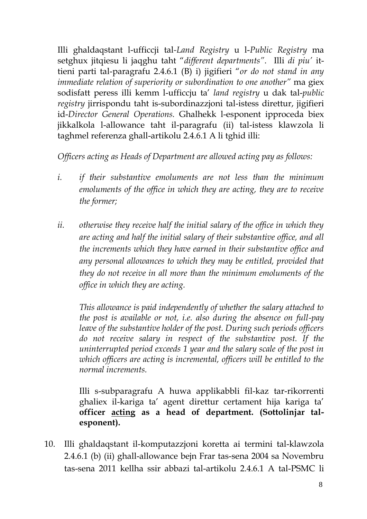Illi ghaldaqstant l-ufficcji tal*-Land Registry* u l-*Public Registry* ma setghux jitqiesu li jaqghu taht "*different departments"*. Illi *di piu'* ittieni parti tal-paragrafu 2.4.6.1 (B) i) jigifieri "*or do not stand in any immediate relation of superiority or subordination to one another"* ma giex sodisfatt peress illi kemm l-ufficcju ta' *land registry* u dak tal-*public registry* jirrispondu taht is-subordinazzjoni tal-istess direttur, jigifieri id-*Director General Operations.* Ghalhekk l-esponent ipproceda biex jikkalkola l-allowance taht il-paragrafu (ii) tal-istess klawzola li taghmel referenza ghall-artikolu 2.4.6.1 A li tghid illi:

*Officers acting as Heads of Department are allowed acting pay as follows:*

- *i. if their substantive emoluments are not less than the minimum emoluments of the office in which they are acting, they are to receive the former;*
- ii. *otherwise they receive half the initial salary of the office in which they are acting and half the initial salary of their substantive office, and all the increments which they have earned in their substantive office and any personal allowances to which they may be entitled, provided that they do not receive in all more than the minimum emoluments of the office in which they are acting.*

*This allowance is paid independently of whether the salary attached to the post is available or not, i.e. also during the absence on full-pay leave of the substantive holder of the post. During such periods officers do not receive salary in respect of the substantive post. If the uninterrupted period exceeds 1 year and the salary scale of the post in which officers are acting is incremental, officers will be entitled to the normal increments.*

Illi s-subparagrafu A huwa applikabbli fil-kaz tar-rikorrenti ghaliex il-kariga ta' agent direttur certament hija kariga ta' **officer acting as a head of department. (Sottolinjar talesponent).**

10. Illi ghaldaqstant il-komputazzjoni koretta ai termini tal-klawzola 2.4.6.1 (b) (ii) ghall-allowance bejn Frar tas-sena 2004 sa Novembru tas-sena 2011 kellha ssir abbazi tal-artikolu 2.4.6.1 A tal-PSMC li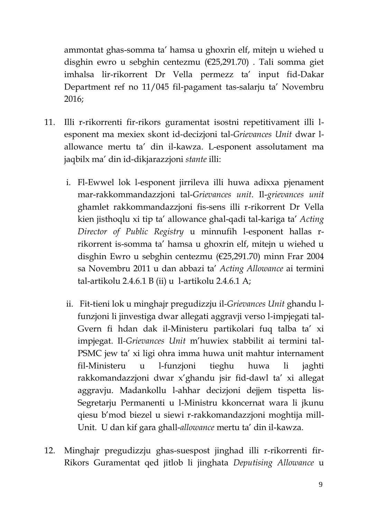ammontat ghas-somma ta' hamsa u ghoxrin elf, mitejn u wiehed u disghin ewro u sebghin centezmu (€25,291.70) . Tali somma giet imhalsa lir-rikorrent Dr Vella permezz ta' input fid-Dakar Department ref no 11/045 fil-pagament tas-salarju ta' Novembru 2016;

- 11. Illi r-rikorrenti fir-rikors guramentat isostni repetitivament illi lesponent ma mexiex skont id-decizjoni tal-*Grievances Unit* dwar lallowance mertu ta' din il-kawza. L-esponent assolutament ma jaqbilx ma' din id-dikjarazzjoni *stante* illi:
	- i. Fl-Ewwel lok l-esponent jirrileva illi huwa adixxa pjenament mar-rakkommandazzjoni tal-*Grievances unit*. Il-*grievances unit*  ghamlet rakkommandazzjoni fis-sens illi r-rikorrent Dr Vella kien jisthoqlu xi tip ta' allowance ghal-qadi tal-kariga ta' *Acting Director of Public Registry* u minnufih l-esponent hallas rrikorrent is-somma ta' hamsa u ghoxrin elf, mitejn u wiehed u disghin Ewro u sebghin centezmu (€25,291.70) minn Frar 2004 sa Novembru 2011 u dan abbazi ta' *Acting Allowance* ai termini tal-artikolu 2.4.6.1 B (ii) u l-artikolu 2.4.6.1 A;
	- ii. Fit-tieni lok u minghajr pregudizzju il-*Grievances Unit* ghandu lfunzjoni li jinvestiga dwar allegati aggravji verso l-impjegati tal-Gvern fi hdan dak il-Ministeru partikolari fuq talba ta' xi impjegat. Il*-Grievances Unit* m'huwiex stabbilit ai termini tal-PSMC jew ta' xi ligi ohra imma huwa unit mahtur internament fil-Ministeru u l-funzjoni tieghu huwa li jaghti rakkomandazzjoni dwar x'ghandu jsir fid-dawl ta' xi allegat aggravju. Madankollu l-ahhar decizjoni dejjem tispetta lis-Segretarju Permanenti u l-Ministru kkoncernat wara li jkunu qiesu b'mod biezel u siewi r-rakkomandazzjoni moghtija mill-Unit. U dan kif gara ghall-*allowance* mertu ta' din il-kawza.
- 12. Minghajr pregudizzju ghas-suespost jinghad illi r-rikorrenti fir-Rikors Guramentat qed jitlob li jinghata *Deputising Allowance* u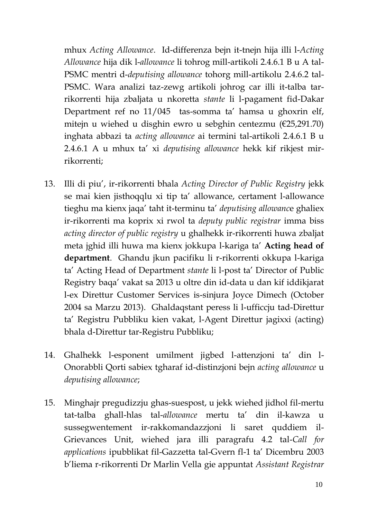mhux *Acting Allowance*. Id-differenza bejn it-tnejn hija illi l-*Acting Allowance* hija dik l-*allowance* li tohrog mill-artikoli 2.4.6.1 B u A tal-PSMC mentri d-*deputising allowance* tohorg mill-artikolu 2.4.6.2 tal-PSMC. Wara analizi taz-zewg artikoli johrog car illi it-talba tarrikorrenti hija zbaljata u nkoretta *stante* li l-pagament fid-Dakar Department ref no 11/045 tas-somma ta' hamsa u ghoxrin elf, mitejn u wiehed u disghin ewro u sebghin centezmu (€25,291.70) inghata abbazi ta *acting allowance* ai termini tal-artikoli 2.4.6.1 B u 2.4.6.1 A u mhux ta' xi *deputising allowance* hekk kif rikjest mirrikorrenti;

- 13. Illi di piu', ir-rikorrenti bhala *Acting Director of Public Registry* jekk se mai kien jisthoqqlu xi tip ta' allowance, certament l-allowance tieghu ma kienx jaqa' taht it-terminu ta' *deputising allowanc*e ghaliex ir-rikorrenti ma koprix xi rwol ta *deputy public registrar* imma biss *acting director of public registry* u ghalhekk ir-rikorrenti huwa zbaljat meta jghid illi huwa ma kienx jokkupa l-kariga ta' **Acting head of department**. Ghandu jkun pacifiku li r-rikorrenti okkupa l-kariga ta' Acting Head of Department *stante* li l-post ta' Director of Public Registry baqa' vakat sa 2013 u oltre din id-data u dan kif iddikjarat l-ex Direttur Customer Services is-sinjura Joyce Dimech (October 2004 sa Marzu 2013). Ghaldaqstant peress li l-ufficcju tad-Direttur ta' Registru Pubbliku kien vakat, l-Agent Direttur jagixxi (acting) bhala d-Direttur tar-Registru Pubbliku;
- 14. Ghalhekk l-esponent umilment jigbed l-attenzjoni ta' din l-Onorabbli Qorti sabiex tgharaf id-distinzjoni bejn *acting allowance* u *deputising allowance*;
- 15. Minghajr pregudizzju ghas-suespost, u jekk wiehed jidhol fil-mertu tat-talba ghall-hlas tal-*allowance* mertu ta' din il-kawza u sussegwentement ir-rakkomandazzjoni li saret quddiem il-Grievances Unit, wiehed jara illi paragrafu 4.2 tal-*Call for applications* ipubblikat fil-Gazzetta tal-Gvern fl-1 ta' Dicembru 2003 b'liema r-rikorrenti Dr Marlin Vella gie appuntat *Assistant Registrar*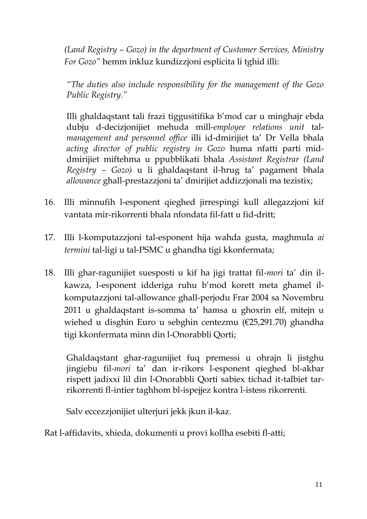*(Land Registry – Gozo) in the department of Customer Services, Ministry For Gozo"* hemm inkluz kundizzjoni esplicita li tghid illi:

*"The duties also include responsibility for the management of the Gozo Public Registry."*

Illi ghaldaqstant tali frazi tiggusitifika b'mod car u minghajr ebda dubju d-decizjonijiet mehuda mill-*employee relations unit* tal*management and personnel office* illi id-dmirijiet ta' Dr Vella bhala *acting director of public registry in Gozo* huma nfatti parti middmirijiet miftehma u ppubblikati bhala *Assistant Registrar (Land Registry – Gozo)* u li ghaldaqstant il-hrug ta' pagament bhala *allowance* ghall-prestazzjoni ta' dmirijiet addizzjonali ma tezistix;

- 16. Illi minnufih l-esponent qieghed jirrespingi kull allegazzjoni kif vantata mir-rikorrenti bhala nfondata fil-fatt u fid-dritt;
- 17. Illi l-komputazzjoni tal-esponent hija wahda gusta, maghmula *ai termini* tal-ligi u tal-PSMC u ghandha tigi kkonfermata;
- 18. Illi ghar-ragunijiet suesposti u kif ha jigi trattat fil-*mori* ta' din ilkawza, l-esponent idderiga ruhu b'mod korett meta ghamel ilkomputazzjoni tal-allowance ghall-perjodu Frar 2004 sa Novembru 2011 u ghaldaqstant is-somma ta' hamsa u ghoxrin elf, mitejn u wiehed u disghin Euro u sebghin centezmu (€25,291.70) ghandha tigi kkonfermata minn din l-Onorabbli Qorti;

Ghaldaqstant ghar-ragunijiet fuq premessi u ohrajn li jistghu jingiebu fil-*mori* ta' dan ir-rikors l-esponent qieghed bl-akbar rispett jadixxi lil din l-Onorabbli Qorti sabiex tichad it-talbiet tarrikorrenti fl-intier taghhom bl-ispejjez kontra l-istess rikorrenti.

Salv eccezzjonijiet ulterjuri jekk jkun il-kaz.

Rat l-affidavits, xhieda, dokumenti u provi kollha esebiti fl-atti;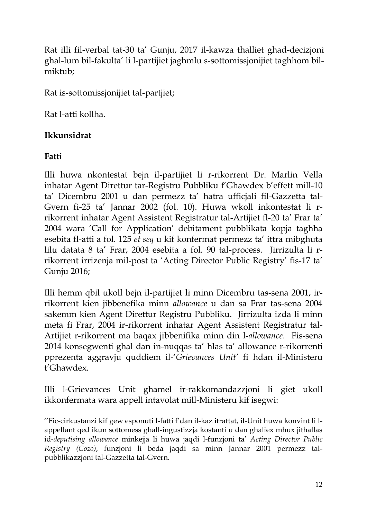Rat illi fil-verbal tat-30 ta' Gunju, 2017 il-kawza thalliet ghad-decizjoni ghal-lum bil-fakulta' li l-partijiet jaghmlu s-sottomissjonijiet taghhom bilmiktub;

Rat is-sottomissjonijiet tal-partjiet;

Rat l-atti kollha.

# **Ikkunsidrat**

# **Fatti**

Illi huwa nkontestat bejn il-partijiet li r-rikorrent Dr. Marlin Vella inhatar Agent Direttur tar-Registru Pubbliku f'Ghawdex b'effett mill-10 ta' Dicembru 2001 u dan permezz ta' hatra ufficjali fil-Gazzetta tal-Gvern fi-25 ta' Jannar 2002 (fol. 10). Huwa wkoll inkontestat li rrikorrent inhatar Agent Assistent Registratur tal-Artijiet fl-20 ta' Frar ta' 2004 wara 'Call for Application' debitament pubblikata kopja taghha esebita fl-atti a fol. 125 *et seq* u kif konfermat permezz ta' ittra mibghuta lilu datata 8 ta' Frar, 2004 esebita a fol. 90 tal-process. Jirrizulta li rrikorrent irrizenja mil-post ta 'Acting Director Public Registry' fis-17 ta' Gunju 2016;

Illi hemm qbil ukoll bejn il-partijiet li minn Dicembru tas-sena 2001, irrikorrent kien jibbenefika minn *allowance* u dan sa Frar tas-sena 2004 sakemm kien Agent Direttur Registru Pubbliku. Jirrizulta izda li minn meta fi Frar, 2004 ir-rikorrent inhatar Agent Assistent Registratur tal-Artijiet r-rikorrent ma baqax jibbenifika minn din l-*allowance*. Fis-sena 2014 konsegwenti ghal dan in-nuqqas ta' hlas ta' allowance r-rikorrenti pprezenta aggravju quddiem il-'*Grievances Unit'* fi hdan il-Ministeru t'Ghawdex.

Illi l-Grievances Unit ghamel ir-rakkomandazzjoni li giet ukoll ikkonfermata wara appell intavolat mill-Ministeru kif isegwi:

''Fic-cirkustanzi kif gew esponuti l-fatti f'dan il-kaz itrattat, il-Unit huwa konvint li lappellant qed ikun sottomess ghall-ingustizzja kostanti u dan ghaliex mhux jithallas id-*deputising allowance* minkejja li huwa jaqdi l-funzjoni ta' *Acting Director Public Registry (Gozo)*, funzjoni li beda jaqdi sa minn Jannar 2001 permezz talpubblikazzjoni tal-Gazzetta tal-Gvern.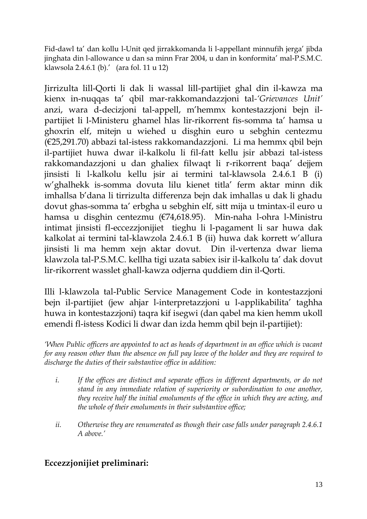Fid-dawl ta' dan kollu l-Unit qed jirrakkomanda li l-appellant minnufih jerga' jibda jinghata din l-allowance u dan sa minn Frar 2004, u dan in konformita' mal-P.S.M.C. klawsola 2.4.6.1 (b).' (ara fol. 11 u 12)

Jirrizulta lill-Qorti li dak li wassal lill-partijiet ghal din il-kawza ma kienx in-nuqqas ta' qbil mar-rakkomandazzjoni tal*-'Grievances Unit'* anzi, wara d-decizjoni tal-appell, m'hemmx kontestazzjoni bejn ilpartijiet li l-Ministeru ghamel hlas lir-rikorrent fis-somma ta' hamsa u ghoxrin elf, mitejn u wiehed u disghin euro u sebghin centezmu (€25,291.70) abbazi tal-istess rakkomandazzjoni. Li ma hemmx qbil bejn il-partijiet huwa dwar il-kalkolu li fil-fatt kellu jsir abbazi tal-istess rakkomandazzjoni u dan ghaliex filwaqt li r-rikorrent baqa' dejjem jinsisti li l-kalkolu kellu jsir ai termini tal-klawsola 2.4.6.1 B (i) w'ghalhekk is-somma dovuta lilu kienet titla' ferm aktar minn dik imhallsa b'dana li tirrizulta differenza bejn dak imhallas u dak li ghadu dovut ghas-somma ta' erbgha u sebghin elf, sitt mija u tmintax-il euro u hamsa u disghin centezmu (€74,618.95). Min-naha l-ohra l-Ministru intimat jinsisti fl-eccezzjonijiet tieghu li l-pagament li sar huwa dak kalkolat ai termini tal-klawzola 2.4.6.1 B (ii) huwa dak korrett w'allura jinsisti li ma hemm xejn aktar dovut. Din il-vertenza dwar liema klawzola tal-P.S.M.C. kellha tigi uzata sabiex isir il-kalkolu ta' dak dovut lir-rikorrent wasslet ghall-kawza odjerna quddiem din il-Qorti.

Illi l-klawzola tal-Public Service Management Code in kontestazzjoni bejn il-partijiet (jew ahjar l-interpretazzjoni u l-applikabilita' taghha huwa in kontestazzjoni) taqra kif isegwi (dan qabel ma kien hemm ukoll emendi fl-istess Kodici li dwar dan izda hemm qbil bejn il-partijiet):

*'When Public officers are appointed to act as heads of department in an office which is vacant for any reason other than the absence on full pay leave of the holder and they are required to discharge the duties of their substantive office in addition:*

- *i. If the offices are distinct and separate offices in different departments, or do not stand in any immediate relation of superiority or subordination to one another, they receive half the initial emoluments of the office in which they are acting, and the whole of their emoluments in their substantive office;*
- *ii. Otherwise they are renumerated as though their case falls under paragraph 2.4.6.1 A above.'*

# **Eccezzjonijiet preliminari:**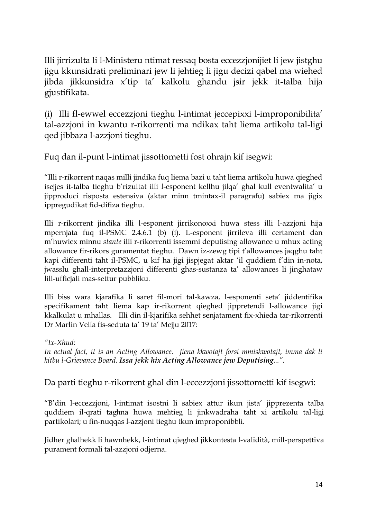Illi jirrizulta li l-Ministeru ntimat ressaq bosta eccezzjonijiet li jew jistghu jigu kkunsidrati preliminari jew li jehtieg li jigu decizi qabel ma wiehed jibda jikkunsidra x'tip ta' kalkolu ghandu jsir jekk it-talba hija gjustifikata.

(i) Illi fl-ewwel eccezzjoni tieghu l-intimat jeccepixxi l-improponibilita' tal-azzjoni in kwantu r-rikorrenti ma ndikax taht liema artikolu tal-ligi qed jibbaza l-azzjoni tieghu.

Fuq dan il-punt l-intimat jissottometti fost ohrajn kif isegwi:

"Illi r-rikorrent naqas milli jindika fuq liema bazi u taht liema artikolu huwa qieghed isejjes it-talba tieghu b'rizultat illi l-esponent kellhu jilqa' ghal kull eventwalita' u jipproduci risposta estensiva (aktar minn tmintax-il paragrafu) sabiex ma jigix ippregudikat fid-difiza tieghu.

Illi r-rikorrent jindika illi l-esponent jirrikonoxxi huwa stess illi l-azzjoni hija mpernjata fuq il-PSMC 2.4.6.1 (b) (i). L-esponent jirrileva illi certament dan m'huwiex minnu *stante* illi r-rikorrenti issemmi deputising allowance u mhux acting allowance fir-rikors guramentat tieghu. Dawn iz-zewg tipi t'allowances jaqghu taht kapi differenti taht il-PSMC, u kif ha jigi jispjegat aktar 'il quddiem f'din in-nota, jwasslu ghall-interpretazzjoni differenti ghas-sustanza ta' allowances li jinghataw lill-ufficjali mas-settur pubbliku.

Illi biss wara kjarafika li saret fil-mori tal-kawza, l-esponenti seta' jiddentifika specifikament taht liema kap ir-rikorrent qieghed jippretendi l-allowance jigi kkalkulat u mhallas. Illi din il-kjarifika sehhet senjatament fix-xhieda tar-rikorrenti Dr Marlin Vella fis-seduta ta' 19 ta' Mejju 2017:

*"Ix-Xhud:*

*In actual fact, it is an Acting Allowance. Jiena kkwotajt forsi mmiskwotajt, imma dak li kitbu l-Grievance Board. Issa jekk hix Acting Allowance jew Deputising...".*

Da parti tieghu r-rikorrent ghal din l-eccezzjoni jissottometti kif isegwi:

"B'din l-eccezzjoni, l-intimat isostni li sabiex attur ikun jista' jipprezenta talba quddiem il-qrati taghna huwa mehtieg li jinkwadraha taht xi artikolu tal-ligi partikolari; u fin-nuqqas l-azzjoni tieghu tkun improponibbli.

Jidher ghalhekk li hawnhekk, l-intimat qieghed jikkontesta l-validità, mill-perspettiva purament formali tal-azzjoni odjerna.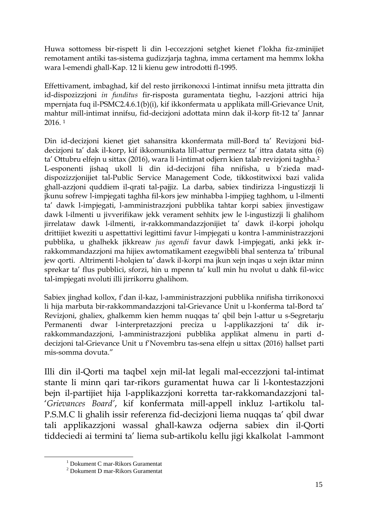Huwa sottomess bir-rispett li din l-eccezzjoni setghet kienet f'lokha fiz-zminijiet remotament antiki tas-sistema gudizzjarja taghna, imma certament ma hemmx lokha wara l-emendi ghall-Kap. 12 li kienu gew introdotti fl-1995.

Effettivament, imbaghad, kif del resto jirrikonoxxi l-intimat innifsu meta jittratta din id-dispozizzjoni *in funditus* fir-risposta guramentata tieghu, l-azzjoni attrici hija mpernjata fuq il-PSMC2.4.6.1(b)(i), kif ikkonfermata u applikata mill-Grievance Unit, mahtur mill-intimat innifsu, fid-decizjoni adottata minn dak il-korp fit-12 ta' Jannar 2016. <sup>1</sup>

Din id-decizjoni kienet giet sahansitra kkonfermata mill-Bord ta' Revizjoni biddecizjoni ta' dak il-korp, kif ikkomunikata lill-attur permezz ta' ittra datata sitta (6) ta' Ottubru elfejn u sittax (2016), wara li l-intimat odjern kien talab revizjoni taghha.<sup>2</sup> L-esponenti jishaq ukoll li din id-decizjoni fiha nnifisha, u b'zieda maddispozizzjonijiet tal-Public Service Management Code, tikkostitwixxi bazi valida ghall-azzjoni quddiem il-qrati tal-pajjiz. La darba, sabiex tindirizza l-ingustizzji li jkunu sofrew l-impjegati taghha fil-kors jew minhabba l-impjieg taghhom, u l-ilmenti ta' dawk l-impjegati, l-amministrazzjoni pubblika tahtar korpi sabiex jinvestigaw dawk l-ilmenti u jivverifikaw jekk verament sehhitx jew le l-ingustizzji li ghalihom jirrelataw dawk l-ilmenti, ir-rakkommandazzjonijiet ta' dawk il-korpi joholqu drittijiet kweziti u aspettattivi legittimi favur l-impjegati u kontra l-amministrazzjoni pubblika, u ghalhekk jikkreaw *jus agendi* favur dawk l-impjegati, anki jekk irrakkommandazzjoni ma hijiex awtomatikament ezegwibbli bhal sentenza ta' tribunal jew qorti. Altrimenti l-holqien ta' dawk il-korpi ma jkun xejn inqas u xejn iktar minn sprekar ta' flus pubblici, sforzi, hin u mpenn ta' kull min hu nvolut u dahk fil-wicc tal-impjegati nvoluti illi jirrikorru ghalihom.

Sabiex jinghad kollox, f'dan il-kaz, l-amministrazzjoni pubblika nnifisha tirrikonoxxi li hija marbuta bir-rakkommandazzjoni tal-Grievance Unit u l-konferma tal-Bord ta' Revizjoni, ghaliex, ghalkemm kien hemm nuqqas ta' qbil bejn l-attur u s-Segretarju Permanenti dwar l-interpretazzjoni preciza u l-applikazzjoni ta' dik irrakkommandazzjoni, l-amministrazzjoni pubblika applikat almenu in parti ddecizjoni tal-Grievance Unit u f'Novembru tas-sena elfejn u sittax (2016) hallset parti mis-somma dovuta."

Illi din il-Qorti ma taqbel xejn mil-lat legali mal-eccezzjoni tal-intimat stante li minn qari tar-rikors guramentat huwa car li l-kontestazzjoni bejn il-partijiet hija l-applikazzjoni korretta tar-rakkomandazzjoni tal- '*Grievances Board'*, kif konfermata mill-appell inkluz l-artikolu tal-P.S.M.C li ghalih issir referenza fid-decizjoni liema nuqqas ta' qbil dwar tali applikazzjoni wassal ghall-kawza odjerna sabiex din il-Qorti tiddeciedi ai termini ta' liema sub-artikolu kellu jigi kkalkolat l-ammont

<u>.</u>

<sup>1</sup> Dokument C mar-Rikors Guramentat

<sup>2</sup> Dokument D mar-Rikors Guramentat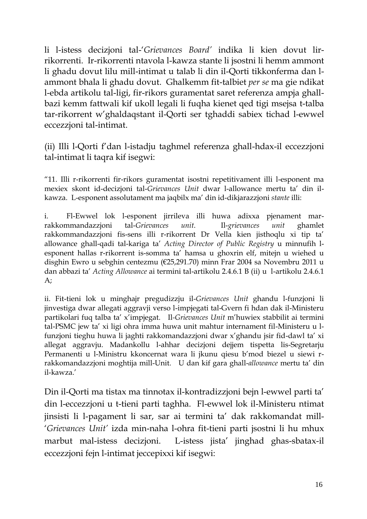li l-istess decizjoni tal-'*Grievances Board'* indika li kien dovut lirrikorrenti. Ir-rikorrenti ntavola l-kawza stante li jsostni li hemm ammont li ghadu dovut lilu mill-intimat u talab li din il-Qorti tikkonferma dan lammont bhala li ghadu dovut. Ghalkemm fit-talbiet *per se* ma gie ndikat l-ebda artikolu tal-ligi, fir-rikors guramentat saret referenza ampja ghallbazi kemm fattwali kif ukoll legali li fuqha kienet qed tigi msejsa t-talba tar-rikorrent w'ghaldaqstant il-Qorti ser tghaddi sabiex tichad l-ewwel eccezzjoni tal-intimat.

(ii) Illi l-Qorti f'dan l-istadju taghmel referenza ghall-hdax-il eccezzjoni tal-intimat li taqra kif isegwi:

"11. Illi r-rikorrenti fir-rikors guramentat isostni repetitivament illi l-esponent ma mexiex skont id-decizjoni tal-*Grievances Unit* dwar l-allowance mertu ta' din ilkawza. L-esponent assolutament ma jaqbilx ma' din id-dikjarazzjoni *stante* illi:

i. Fl-Ewwel lok l-esponent jirrileva illi huwa adixxa pjenament marrakkommandazzjoni tal-*Grievances unit*. Il-*grievances unit* ghamlet rakkommandazzjoni fis-sens illi r-rikorrent Dr Vella kien jisthoqlu xi tip ta' allowance ghall-qadi tal-kariga ta' *Acting Director of Public Registry* u minnufih lesponent hallas r-rikorrent is-somma ta' hamsa u ghoxrin elf, mitejn u wiehed u disghin Ewro u sebghin centezmu (€25,291.70) minn Frar 2004 sa Novembru 2011 u dan abbazi ta' *Acting Allowance* ai termini tal-artikolu 2.4.6.1 B (ii) u l-artikolu 2.4.6.1 A;

ii. Fit-tieni lok u minghajr pregudizzju il-*Grievances Unit* ghandu l-funzjoni li jinvestiga dwar allegati aggravji verso l-impjegati tal-Gvern fi hdan dak il-Ministeru partikolari fuq talba ta' x'impjegat. Il*-Grievances Unit* m'huwiex stabbilit ai termini tal-PSMC jew ta' xi ligi ohra imma huwa unit mahtur internament fil-Ministeru u lfunzjoni tieghu huwa li jaghti rakkomandazzjoni dwar x'ghandu jsir fid-dawl ta' xi allegat aggravju. Madankollu l-ahhar decizjoni dejjem tispetta lis-Segretarju Permanenti u l-Ministru kkoncernat wara li jkunu qiesu b'mod biezel u siewi rrakkomandazzjoni moghtija mill-Unit. U dan kif gara ghall-*allowance* mertu ta' din il-kawza.'

Din il-Qorti ma tistax ma tinnotax il-kontradizzjoni bejn l-ewwel parti ta' din l-eccezzjoni u t-tieni parti taghha. Fl-ewwel lok il-Ministeru ntimat jinsisti li l-pagament li sar, sar ai termini ta' dak rakkomandat mill- '*Grievances Unit'* izda min-naha l-ohra fit-tieni parti jsostni li hu mhux marbut mal-istess decizjoni. L-istess jista' jinghad ghas-sbatax-il eccezzjoni fejn l-intimat jeccepixxi kif isegwi: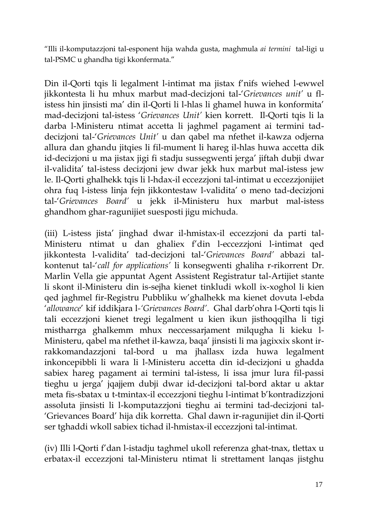"Illi il-komputazzjoni tal-esponent hija wahda gusta, maghmula *ai termini* tal-ligi u tal-PSMC u ghandha tigi kkonfermata."

Din il-Qorti tqis li legalment l-intimat ma jistax f'nifs wiehed l-ewwel jikkontesta li hu mhux marbut mad-decizjoni tal-'*Grievances unit'* u flistess hin jinsisti ma' din il-Qorti li l-hlas li ghamel huwa in konformita' mad-decizjoni tal-istess '*Grievances Unit'* kien korrett. Il-Qorti tqis li la darba l-Ministeru ntimat accetta li jaghmel pagament ai termini taddecizjoni tal-'*Grievances Unit'* u dan qabel ma nfethet il-kawza odjerna allura dan ghandu jitqies li fil-mument li hareg il-hlas huwa accetta dik id-decizjoni u ma jistax jigi fi stadju sussegwenti jerga' jiftah dubji dwar il-validita' tal-istess decizjoni jew dwar jekk hux marbut mal-istess jew le. Il-Qorti ghalhekk tqis li l-hdax-il eccezzjoni tal-intimat u eccezzjonijiet ohra fuq l-istess linja fejn jikkontestaw l-validita' o meno tad-decizjoni tal-'*Grievances Board'* u jekk il-Ministeru hux marbut mal-istess ghandhom ghar-ragunijiet suesposti jigu michuda.

(iii) L-istess jista' jinghad dwar il-hmistax-il eccezzjoni da parti tal-Ministeru ntimat u dan ghaliex f'din l-eccezzjoni l-intimat qed jikkontesta l-validita' tad-decizjoni tal-'*Grievances Board'* abbazi talkontenut tal-'*call for applications'* li konsegwenti ghaliha r-rikorrent Dr. Marlin Vella gie appuntat Agent Assistent Registratur tal-Artijiet stante li skont il-Ministeru din is-sejha kienet tinkludi wkoll ix-xoghol li kien qed jaghmel fir-Registru Pubbliku w'ghalhekk ma kienet dovuta l-ebda '*allowance*' kif iddikjara l*-'Grievances Board'*. Ghal darb'ohra l-Qorti tqis li tali eccezzjoni kienet tregi legalment u kien ikun jisthoqqilha li tigi mistharrga ghalkemm mhux neccessarjament milqugha li kieku l-Ministeru, qabel ma nfethet il-kawza, baqa' jinsisti li ma jagixxix skont irrakkomandazzjoni tal-bord u ma jhallasx izda huwa legalment inkoncepibbli li wara li l-Ministeru accetta din id-decizjoni u ghadda sabiex hareg pagament ai termini tal-istess, li issa jmur lura fil-passi tieghu u jerga' jqajjem dubji dwar id-decizjoni tal-bord aktar u aktar meta fis-sbatax u t-tmintax-il eccezzjoni tieghu l-intimat b'kontradizzjoni assoluta jinsisti li l-komputazzjoni tieghu ai termini tad-decizjoni tal- 'Grievances Board' hija dik korretta. Ghal dawn ir-ragunijiet din il-Qorti ser tghaddi wkoll sabiex tichad il-hmistax-il eccezzjoni tal-intimat.

(iv) Illi l-Qorti f'dan l-istadju taghmel ukoll referenza ghat-tnax, tlettax u erbatax-il eccezzjoni tal-Ministeru ntimat li strettament lanqas jistghu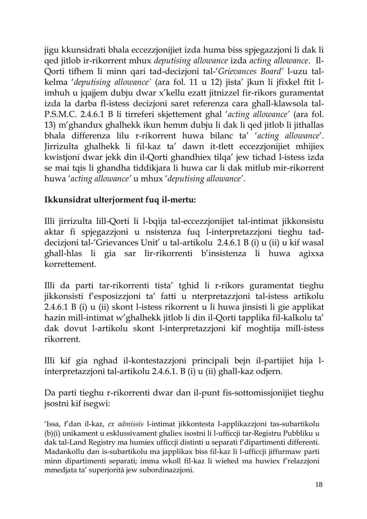jigu kkunsidrati bhala eccezzjonijiet izda huma biss spjegazzjoni li dak li qed jitlob ir-rikorrent mhux *deputising allowance* izda *acting allowance*. Il-Qorti tifhem li minn qari tad-decizjoni tal-'*Grievances Board'* l-uzu talkelma '*deputising allowance'* (ara fol. 11 u 12) jista' jkun li jfixkel ftit limhuh u jqajjem dubju dwar x'kellu ezatt jitnizzel fir-rikors guramentat izda la darba fl-istess decizjoni saret referenza cara ghall-klawsola tal-P.S.M.C. 2.4.6.1 B li tirreferi skjettement ghal '*acting allowance'* (ara fol. 13) m'ghandux ghalhekk ikun hemm dubju li dak li qed jitlob li jithallas bhala differenza lilu r-rikorrent huwa bilanc ta' '*acting allowance*'. Jirrizulta ghalhekk li fil-kaz ta' dawn it-tlett eccezzjonijiet mhijiex kwistjoni dwar jekk din il-Qorti ghandhiex tilqa' jew tichad l-istess izda se mai tqis li ghandha tiddikjara li huwa car li dak mitlub mir-rikorrent huwa '*acting allowance'* u mhux '*deputising allowance'*.

# **Ikkunsidrat ulterjorment fuq il-mertu:**

Illi jirrizulta lill-Qorti li l-bqija tal-eccezzjonijiet tal-intimat jikkonsistu aktar fi spjegazzjoni u nsistenza fuq l-interpretazzjoni tieghu taddecizjoni tal-'Grievances Unit' u tal-artikolu 2.4.6.1 B (i) u (ii) u kif wasal ghall-hlas li gia sar lir-rikorrenti b'insistenza li huwa agixxa korrettement.

Illi da parti tar-rikorrenti tista' tghid li r-rikors guramentat tieghu jikkonsisti f'esposizzjoni ta' fatti u nterpretazzjoni tal-istess artikolu 2.4.6.1 B (i) u (ii) skont l-istess rikorrent u li huwa jinsisti li gie applikat hazin mill-intimat w'ghalhekk jitlob li din il-Qorti tapplika fil-kalkolu ta' dak dovut l-artikolu skont l-interpretazzjoni kif moghtija mill-istess rikorrent.

Illi kif gia nghad il-kontestazzjoni principali bejn il-partijiet hija linterpretazzjoni tal-artikolu 2.4.6.1. B (i) u (ii) ghall-kaz odjern.

Da parti tieghu r-rikorrenti dwar dan il-punt fis-sottomissjonijiet tieghu jsostni kif isegwi:

'Issa, f'dan il-kaz, *ex admissis* l-intimat jikkontesta l-applikazzjoni tas-subartikolu (b)(i) unikament u esklussivament ghaliex isostni li l-ufficcji tar-Registru Pubbliku u dak tal-Land Registry ma humiex ufficcji distinti u separati f'dipartimenti differenti. Madankollu dan is-subartikolu ma japplikax biss fil-kaz li l-ufficcji jiffurmaw parti minn dipartimenti separati; imma wkoll fil-kaz li wiehed ma huwiex f'relazzjoni mmedjata ta' superjorità jew subordinazzjoni.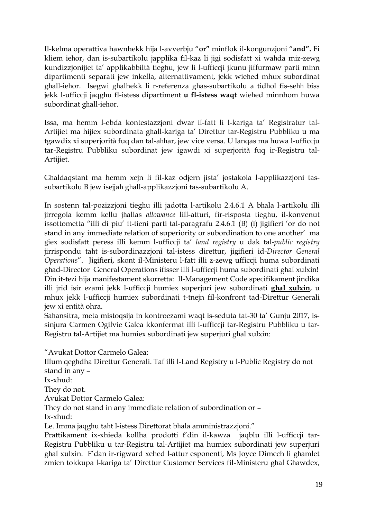Il-kelma operattiva hawnhekk hija l-avverbju "**or"** minflok il-kongunzjoni "**and".** Fi kliem iehor, dan is-subartikolu japplika fil-kaz li jigi sodisfatt xi wahda miz-zewg kundizzjonijiet ta' applikabbiltà tieghu, jew li l-ufficcji jkunu jiffurmaw parti minn dipartimenti separati jew inkella, alternattivament, jekk wiehed mhux subordinat ghall-iehor. Isegwi ghalhekk li r-referenza ghas-subartikolu a tidhol fis-sehh biss jekk l-ufficcji jaqghu fl-istess dipartiment **u fl-istess waqt** wiehed minnhom huwa subordinat ghall-iehor.

Issa, ma hemm l-ebda kontestazzjoni dwar il-fatt li l-kariga ta' Registratur tal-Artijiet ma hijiex subordinata ghall-kariga ta' Direttur tar-Registru Pubbliku u ma tgawdix xi superjorità fuq dan tal-ahhar, jew vice versa. U lanqas ma huwa l-ufficcju tar-Registru Pubbliku subordinat jew igawdi xi superjorità fuq ir-Registru tal-Artijiet.

Ghaldaqstant ma hemm xejn li fil-kaz odjern jista' jostakola l-applikazzjoni tassubartikolu B jew isejjah ghall-applikazzjoni tas-subartikolu A.

In sostenn tal-pozizzjoni tieghu illi jadotta l-artikolu 2.4.6.1 A bhala l-artikolu illi jirregola kemm kellu jhallas *allowance* lill-atturi, fir-risposta tieghu, il-konvenut issottometta "illi di piu' it-tieni parti tal-paragrafu 2.4.6.1 (B) (i) jigifieri 'or do not stand in any immediate relation of superiority or subordination to one another' ma giex sodisfatt peress illi kemm l-ufficcji ta' *land registry* u dak tal-*public registry* jirrispondu taht is-subordinazzjoni tal-istess direttur, jigifieri id-*Director General Operations*". Jigifieri, skont il-Ministeru l-fatt illi z-zewg ufficcji huma subordinati ghad-Director General Operations ifisser illi l-ufficcji huma subordinati ghal xulxin! Din it-tezi hija manifestament skorretta: Il-Management Code specifikament jindika illi jrid isir ezami jekk l-ufficcji humiex superjuri jew subordinati **ghal xulxin**, u mhux jekk l-ufficcji humiex subordinati t-tnejn fil-konfront tad-Direttur Generali jew xi entità ohra.

Sahansitra, meta mistoqsija in kontroezami waqt is-seduta tat-30 ta' Gunju 2017, issinjura Carmen Ogilvie Galea kkonfermat illi l-ufficcji tar-Registru Pubbliku u tar-Registru tal-Artijiet ma humiex subordinati jew superjuri ghal xulxin:

"Avukat Dottor Carmelo Galea:

Illum qeghdha Direttur Generali. Taf illi l-Land Registry u l-Public Registry do not stand in any –

Ix-xhud:

They do not.

Avukat Dottor Carmelo Galea:

They do not stand in any immediate relation of subordination or –

Ix-xhud:

Le. Imma jaqghu taht l-istess Direttorat bhala amministrazzjoni."

Prattikament ix-xhieda kollha prodotti f'din il-kawza jaqblu illi l-ufficcji tar-Registru Pubbliku u tar-Registru tal-Artijiet ma humiex subordinati jew superjuri ghal xulxin. F'dan ir-rigward xehed l-attur esponenti, Ms Joyce Dimech li ghamlet zmien tokkupa l-kariga ta' Direttur Customer Services fil-Ministeru ghal Ghawdex,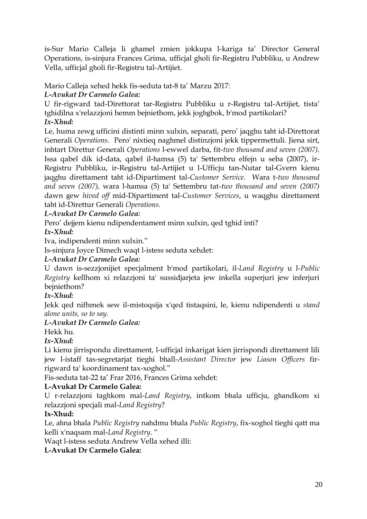is-Sur Mario Calleja li ghamel zmien jokkupa l-kariga ta' Director General Operations, is-sinjura Frances Grima, ufficjal gholi fir-Registru Pubbliku, u Andrew Vella, ufficjal gholi fir-Registru tal-Artijiet.

Mario Calleja xehed hekk fis-seduta tat-8 ta' Marzu 2017:

### *L-Avukat Dr Carmelo Galea:*

U fir-rigward tad-Direttorat tar-Registru Pubbliku u r-Registru tal-Artijiet, tista' tghidilna x'relazzjoni hemm bejniethom, jekk joghgbok, b'mod partikolari? *Ix-Xhud:* 

Le, huma zewg ufficini distinti minn xulxin, separati, pero' jaqghu taht id-Direttorat Generali *Operations*. Pero' nixtieq naghmel distinzjoni jekk tippermettuli. Jiena sirt, inhtart Direttur Generali *Operations* l-ewwel darba, fit-*two thousand and seven (2007).*  Issa qabel dik id-data, qabel il-hamsa (5) ta' Settembru elfejn u seba (2007), ir-Registru Pubbliku, ir-Registru tal-Artijiet u l-Ufficju tan-Nutar tal-Gvern kienu jaqghu direttament taht id-Dipartiment tal-*Customer Service.* Wara t-*two thousand and seven (2007),* wara l-hamsa (5) ta' Settembru tat-*two thousand and seven (2007)*  dawn gew *hived off* mid-Dipartiment tal-*Customer Services*, u waqghu direttament taht id-Direttur Generali *Operations*.

### *L-Avukat Dr Carmelo Galea:*

Pero' dejjem kienu ndipendentament minn xulxin, qed tghid inti?

#### *Ix-Xhud:*

Iva, indipendenti minn xulxin."

Is-sinjura Joyce Dimech waqt l-istess seduta xehdet:

#### *L-Avukat Dr Carmelo Galea:*

U dawn is-sezzjonijiet specjalment b'mod partikolari, il-*Land Registry* u l-*Public Registry* kellhom xi relazzjoni ta' sussidjarjeta jew inkella superjuri jew inferjuri bejniethom?

### *Ix-Xhud:*

Jekk qed nifhmek sew il-mistoqsija x'qed tistaqsini, le, kienu ndipendenti u *stand alone units, so to say.*

### *L-Avukat Dr Carmelo Galea:*

Hekk hu.

### *Ix-Xhud:*

Li kienu jirrispondu direttament, l-ufficjal inkarigat kien jirrispondi direttament lili jew l-istaff tas-segretarjat tieghi bhall-*Assistant Director* jew *Liason Officers* firrigward ta' koordinament tax-xoghol."

Fis-seduta tat-22 ta' Frar 2016, Frances Grima xehdet:

### **L-Avukat Dr Carmelo Galea:**

U r-relazzjoni taghkom mal-*Land Registry*, intkom bhala ufficju, ghandkom xi relazzjoni specjali mal-*Land Registry*?

### **Ix-Xhud:**

Le, ahna bhala *Public Registry* nahdmu bhala *Public Registry*, fix-xoghol tieghi qatt ma kelli x'naqsam mal-*Land Registry*. "

Waqt l-istess seduta Andrew Vella xehed illi:

### **L-Avukat Dr Carmelo Galea:**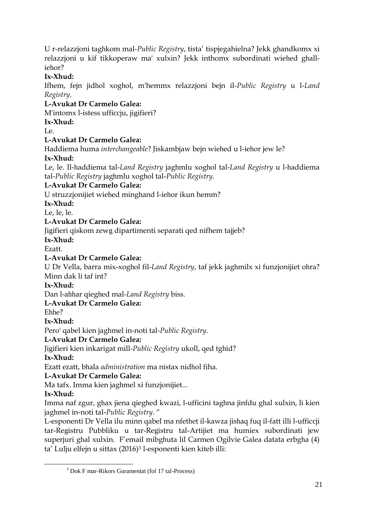U r-relazzjoni taghkom mal-*Public Registry*, tista' tispjegahielna? Jekk ghandkomx xi relazzjoni u kif tikkoperaw ma' xulxin? Jekk inthomx subordinati wiehed ghalliehor?

### **Ix-Xhud:**

Ifhem, fejn jidhol xoghol, m'hemmx relazzjoni bejn il-*Public Registry* u l-*Land Registry*.

### **L-Avukat Dr Carmelo Galea:**

M'intomx l-istess ufficcju, jigifieri?

### **Ix-Xhud:**

Le.

### **L-Avukat Dr Carmelo Galea:**

Haddiema huma *interchangeable*? Jiskambjaw bejn wiehed u l-iehor jew le? **Ix-Xhud:** 

Le, le. Il-haddiema tal-*Land Registry* jaghmlu xoghol tal-*Land Registry* u l-haddiema tal-*Public Registry* jaghmlu xoghol tal-*Public Registry*.

### **L-Avukat Dr Carmelo Galea:**

U struzzjonijiet wiehed minghand l-iehor ikun hemm?

**Ix-Xhud:** 

Le, le, le.

### **L-Avukat Dr Carmelo Galea:**

Jigifieri qiskom zewg dipartimenti separati qed nifhem tajjeb?

**Ix-Xhud:** 

Ezatt.

### **L-Avukat Dr Carmelo Galea:**

U Dr Vella, barra mix-xoghol fil-*Land Registry*, taf jekk jaghmilx xi funzjonijiet ohra? Minn dak li taf int?

**Ix-Xhud:** 

Dan l-ahhar qieghed mal-*Land Registry* biss.

### **L-Avukat Dr Carmelo Galea:**

Ehhe?

**Ix-Xhud:** 

Pero' qabel kien jaghmel in-noti tal-*Public Registry*.

### **L-Avukat Dr Carmelo Galea:**

Jigifieri kien inkarigat mill-*Public Registry* ukoll, qed tghid?

### **Ix-Xhud:**

Ezatt ezatt, bhala *administration* ma nistax nidhol fiha.

### **L-Avukat Dr Carmelo Galea:**

Ma tafx. Imma kien jaghmel xi funzjonijiet...

### **Ix-Xhud:**

1

Imma naf zgur, ghax jiena qieghed kwazi, l-ufficini taghna jinfdu ghal xulxin, li kien jaghmel in-noti tal-*Public Registry*. "

L-esponenti Dr Vella ilu minn qabel ma nfethet il-kawza jishaq fuq il-fatt illi l-ufficcji tar-Registru Pubbliku u tar-Registru tal-Artijiet ma humiex subordinati jew superjuri ghal xulxin. F'email mibghuta lil Carmen Ogilvie Galea datata erbgha (4) ta' Lulju elfejn u sittax (2016)<sup>3</sup> l-esponenti kien kiteb illi:

<sup>3</sup> Dok F mar-Rikors Guramentat (fol 17 tal-Process)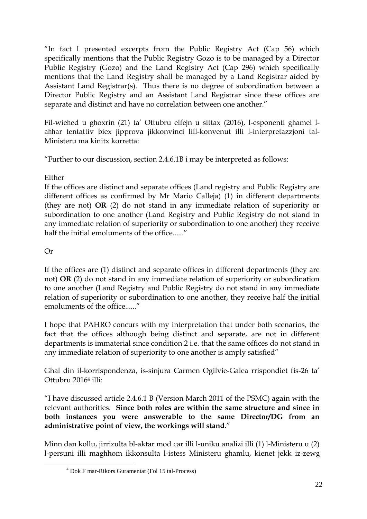"In fact I presented excerpts from the Public Registry Act (Cap 56) which specifically mentions that the Public Registry Gozo is to be managed by a Director Public Registry (Gozo) and the Land Registry Act (Cap 296) which specifically mentions that the Land Registry shall be managed by a Land Registrar aided by Assistant Land Registrar(s). Thus there is no degree of subordination between a Director Public Registry and an Assistant Land Registrar since these offices are separate and distinct and have no correlation between one another."

Fil-wiehed u ghoxrin (21) ta' Ottubru elfejn u sittax (2016), l-esponenti ghamel lahhar tentattiv biex jipprova jikkonvinci lill-konvenut illi l-interpretazzjoni tal-Ministeru ma kinitx korretta:

"Further to our discussion, section 2.4.6.1B i may be interpreted as follows:

#### Either

If the offices are distinct and separate offices (Land registry and Public Registry are different offices as confirmed by Mr Mario Calleja) (1) in different departments (they are not) **OR** (2) do not stand in any immediate relation of superiority or subordination to one another (Land Registry and Public Registry do not stand in any immediate relation of superiority or subordination to one another) they receive half the initial emoluments of the office......"

### Or

1

If the offices are (1) distinct and separate offices in different departments (they are not) **OR** (2) do not stand in any immediate relation of superiority or subordination to one another (Land Registry and Public Registry do not stand in any immediate relation of superiority or subordination to one another, they receive half the initial emoluments of the office......"

I hope that PAHRO concurs with my interpretation that under both scenarios, the fact that the offices although being distinct and separate, are not in different departments is immaterial since condition 2 i.e. that the same offices do not stand in any immediate relation of superiority to one another is amply satisfied"

Ghal din il-korrispondenza, is-sinjura Carmen Ogilvie-Galea rrispondiet fis-26 ta' Ottubru 2016<sup>4</sup> illi:

"I have discussed article 2.4.6.1 B (Version March 2011 of the PSMC) again with the relevant authorities. **Since both roles are within the same structure and since in both instances you were answerable to the same Director/DG from an administrative point of view, the workings will stand**."

Minn dan kollu, jirrizulta bl-aktar mod car illi l-uniku analizi illi (1) l-Ministeru u (2) l-persuni illi maghhom ikkonsulta l-istess Ministeru ghamlu, kienet jekk iz-zewg

<sup>4</sup> Dok F mar-Rikors Guramentat (Fol 15 tal-Process)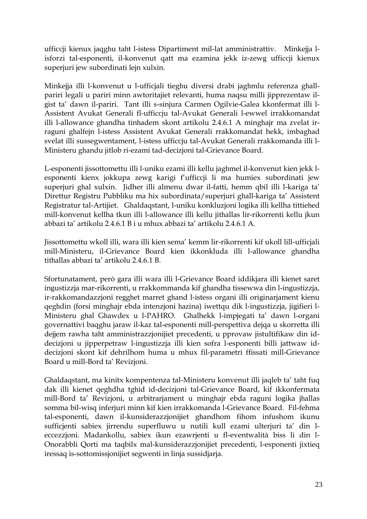ufficcji kienux jaqghu taht l-istess Dipartiment mil-lat amministrattiv. Minkejja lisforzi tal-esponenti, il-konvenut qatt ma ezamina jekk iz-zewg ufficcji kienux superjuri jew subordinati lejn xulxin.

Minkejja illi l-konvenut u l-ufficjali tieghu diversi drabi jaghmlu referenza ghallpariri legali u pariri minn awtoritajiet relevanti, huma naqsu milli jipprezentaw ilgist ta' dawn il-pariri. Tant illi s-sinjura Carmen Ogilvie-Galea kkonfermat illi l-Assistent Avukat Generali fl-ufficcju tal-Avukat Generali l-ewwel irrakkomandat illi l-allowance ghandha tinhadem skont artikolu 2.4.6.1 A minghajr ma zvelat irraguni ghalfejn l-istess Assistent Avukat Generali rrakkomandat hekk, imbaghad svelat illi sussegwentament, l-istess ufficcju tal-Avukat Generali rrakkomanda illi l-Ministeru ghandu jitlob ri-ezami tad-decizjoni tal-Grievance Board.

L-esponenti jissottomettu illi l-uniku ezami illi kellu jaghmel il-konvenut kien jekk lesponenti kienx jokkupa zewg karigi f'ufficcji li ma humiex subordinati jew superjuri ghal xulxin. Jidher illi almenu dwar il-fatti, hemm qbil illi l-kariga ta' Direttur Registru Pubbliku ma hix subordinata/superjuri ghall-kariga ta' Assistent Registratur tal-Artijiet. Ghaldaqstant, l-uniku konkluzjoni logika illi kellha tittiehed mill-konvenut kellha tkun illi l-allowance illi kellu jithallas lir-rikorrenti kellu jkun abbazi ta' artikolu 2.4.6.1 B i u mhux abbazi ta' artikolu 2.4.6.1 A.

Jissottomettu wkoll illi, wara illi kien sema' kemm lir-rikorrenti kif ukoll lill-ufficjali mill-Ministeru, il-Grievance Board kien ikkonkluda illi l-allowance ghandha tithallas abbazi ta' artikolu 2.4.6.1 B.

Sfortunatament, però gara illi wara illi l-Grievance Board iddikjara illi kienet saret ingustizzja mar-rikorrenti, u rrakkommanda kif ghandha tissewwa din l-ingustizzja, ir-rakkomandazzjoni regghet marret ghand l-istess organi illi originarjament kienu qeghdin (forsi minghajr ebda intenzjoni hazina) iwettqu dik l-ingustizzja, jigifieri l-Ministeru ghal Ghawdex u l-PAHRO. Ghalhekk l-impjegati ta' dawn l-organi governattivi baqghu jaraw il-kaz tal-esponenti mill-perspettiva dejqa u skorretta illi dejjem rawha taht amministrazzjonijiet precedenti, u pprovaw jistultifikaw din iddecizjoni u jipperpetraw l-ingustizzja illi kien sofra l-esponenti billi jattwaw iddecizjoni skont kif dehrilhom huma u mhux fil-parametri ffissati mill-Grievance Board u mill-Bord ta' Revizjoni.

Ghaldaqstant, ma kinitx kompentenza tal-Ministeru konvenut illi jaqleb ta' taht fuq dak illi kienet qeghdha tghid id-decizjoni tal-Grievance Board, kif ikkonfermata mill-Bord ta' Revizjoni, u arbitrarjament u minghajr ebda raguni logika jhallas somma bil-wisq inferjuri minn kif kien irrakkomanda l-Grievance Board. Fil-fehma tal-esponenti, dawn il-kunsiderazzjonijiet ghandhom fihom infushom ikunu sufficjenti sabiex jirrendu superfluwu u nutili kull ezami ulterjuri ta' din leccezzjoni. Madankollu, sabiex ikun ezawrjenti u fl-eventwalità biss li din l-Onorabbli Qorti ma taqbilx mal-kunsiderazzjonijiet precedenti, l-esponenti jixtieq iressaq is-sottomissjonijiet segwenti in linja sussidjarja.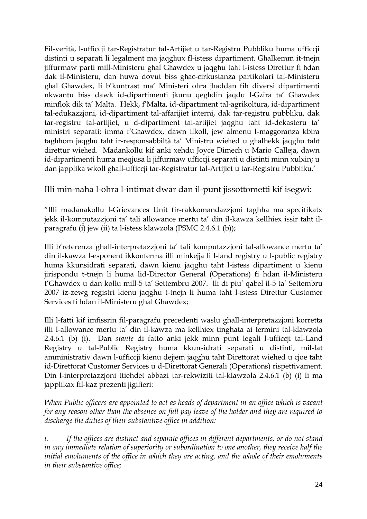Fil-verità, l-ufficcji tar-Registratur tal-Artijiet u tar-Registru Pubbliku huma ufficcji distinti u separati li legalment ma jaqghux fl-istess dipartiment. Ghalkemm it-tnejn jiffurmaw parti mill-Ministeru ghal Ghawdex u jaqghu taht l-istess Direttur fi hdan dak il-Ministeru, dan huwa dovut biss ghac-cirkustanza partikolari tal-Ministeru ghal Ghawdex, li b'kuntrast ma' Ministeri ohra jhaddan fih diversi dipartimenti nkwantu biss dawk id-dipartimenti jkunu qeghdin jaqdu l-Gzira ta' Ghawdex minflok dik ta' Malta. Hekk, f'Malta, id-dipartiment tal-agrikoltura, id-dipartiment tal-edukazzjoni, id-dipartiment tal-affarijiet interni, dak tar-registru pubbliku, dak tar-registru tal-artijiet, u d-dipartiment tal-artijiet jaqghu taht id-dekasteru ta' ministri separati; imma f'Ghawdex, dawn ilkoll, jew almenu l-maggoranza kbira taghhom jaqghu taht ir-responsabbiltà ta' Ministru wiehed u ghalhekk jaqghu taht direttur wiehed. Madankollu kif anki xehdu Joyce Dimech u Mario Calleja, dawn id-dipartimenti huma meqjusa li jiffurmaw ufficcji separati u distinti minn xulxin; u dan japplika wkoll ghall-ufficcji tar-Registratur tal-Artijiet u tar-Registru Pubbliku.'

### Illi min-naha l-ohra l-intimat dwar dan il-punt jissottometti kif isegwi:

"Illi madanakollu l-Grievances Unit fir-rakkomandazzjoni taghha ma specifikatx jekk il-komputazzjoni ta' tali allowance mertu ta' din il-kawza kellhiex issir taht ilparagrafu (i) jew (ii) ta l-istess klawzola (PSMC 2.4.6.1 (b));

Illi b'referenza ghall-interpretazzjoni ta' tali komputazzjoni tal-allowance mertu ta' din il-kawza l-esponent ikkonferma illi minkejja li l-land registry u l-public registry huma kkunsidrati separati, dawn kienu jaqghu taht l-istess dipartiment u kienu jirispondu t-tnejn li huma lid-Director General (Operations) fi hdan il-Ministeru t'Ghawdex u dan kollu mill-5 ta' Settembru 2007. lli di piu' qabel il-5 ta' Settembru 2007 iz-zewg registri kienu jaqghu t-tnejn li huma taht l-istess Direttur Customer Services fi hdan il-Ministeru ghal Ghawdex;

Illi l-fatti kif imfissrin fil-paragrafu precedenti waslu ghall-interpretazzjoni korretta illi l-allowance mertu ta' din il-kawza ma kellhiex tinghata ai termini tal-klawzola 2.4.6.1 (b) (i). Dan *stante* di fatto anki jekk minn punt legali l-ufficcji tal-Land Registry u tal-Public Registry huma kkunsidrati separati u distinti, mil-lat amministrativ dawn l-ufficcji kienu dejjem jaqghu taht Direttorat wiehed u cjoe taht id-Direttorat Customer Services u d-Direttorat Generali (Operations) rispettivament. Din l-interpretazzjoni ttiehdet abbazi tar-rekwiziti tal-klawzola 2.4.6.1 (b) (i) li ma japplikax fil-kaz prezenti jigifieri:

*When Public officers are appointed to act as heads of department in an office which is vacant for any reason other than the absence on full pay leave of the holder and they are required to discharge the duties of their substantive office in addition:*

*i. If the offices are distinct and separate offices in different departments, or do not stand in any immediate relation of superiority or subordination to one another, they receive half the initial emoluments of the office in which they are acting, and the whole of their emoluments in their substantive office;*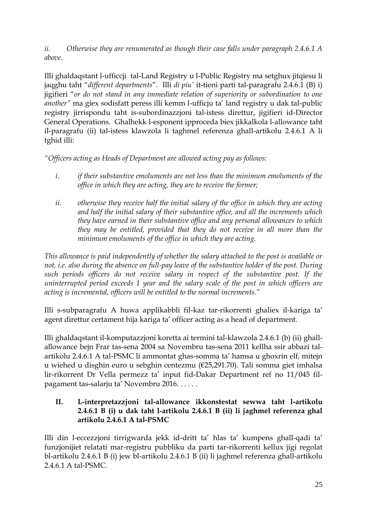*ii. Otherwise they are renumerated as though their case falls under paragraph 2.4.6.1 A above.* 

Illi ghaldaqstant l-ufficcji tal-Land Registry u l-Public Registry ma setghux jitqiesu li jaqghu taht "*different departments*". Illi *di piu'* it-tieni parti tal-paragrafu 2.4.6.1 (B) i) jigifieri "*or do not stand in any immediate relation of superiority or subordination to one another"* ma giex sodisfatt peress illi kemm l-ufficju ta' land registry u dak tal-public registry jirrispondu taht is-subordinazzjoni tal-istess direttur, jigifieri id-Director General Operations. Ghalhekk l-esponent ipproceda biex jikkalkola l-allowance taht il-paragrafu (ii) tal-istess klawzola li taghmel referenza ghall-artikolu 2.4.6.1 A li tghid illi:

*"Officers acting as Heads of Department are allowed acting pay as follows:*

- *i. if their substantive emoluments are not less than the minimum emoluments of the office in which they are acting, they are to receive the former;*
- *ii. otherwise they receive half the initial salary of the office in which they are acting and half the initial salary of their substantive office, and all the increments which they have earned in their substantive office and any personal allowances to which they may be entitled, provided that they do not receive in all more than the minimum emoluments of the office in which they are acting.*

*This allowance is paid independently of whether the salary attached to the post is available or not, i.e. also during the absence on full-pay leave of the substantive holder of the post. During such periods officers do not receive salary in respect of the substantive post. If the uninterrupted period exceeds 1 year and the salary scale of the post in which officers are acting is incremental, officers will be entitled to the normal increments."*

Illi s-subparagrafu A huwa applikabbli fil-kaz tar-rikorrenti ghaliex il-kariga ta' agent direttur certament hija kariga ta' officer acting as a head of department.

Illi ghaldaqstant il-komputazzjoni koretta ai termini tal-klawzola 2.4.6.1 (b) (ii) ghallallowance bejn Frar tas-sena 2004 sa Novembru tas-sena 2011 kellha ssir abbazi talartikolu 2.4.6.1 A tal-PSMC li ammontat ghas-somma ta' hamsa u ghoxrin elf, mitejn u wiehed u disghin euro u sebghin centezmu (€25,291.70). Tali somma giet imhalsa lir-rikorrent Dr Vella permezz ta' input fid-Dakar Department ref no 11/045 filpagament tas-salarju ta' Novembru 2016. . . . . .

#### **II. L-interpretazzjoni tal-allowance ikkonstestat sewwa taht l-artikolu 2.4.6.1 B (i) u dak taht l-artikolu 2.4.6.1 B (ii) li jaghmel referenza ghal artikolu 2.4.6.1 A tal-PSMC**

Illi din l-eccezzjoni tirrigwarda jekk id-dritt ta' hlas ta' kumpens ghall-qadi ta' funzjonijiet relatati mar-registru pubbliku da parti tar-rikorrenti kellux jigi regolat bl-artikolu 2.4.6.1 B (i) jew bl-artikolu 2.4.6.1 B (ii) li jaghmel referenza ghall-artikolu 2.4.6.1 A tal-PSMC.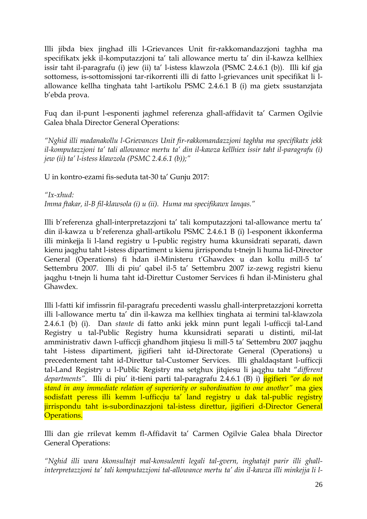Illi jibda biex jinghad illi l-Grievances Unit fir-rakkomandazzjoni taghha ma specifikatx jekk il-komputazzjoni ta' tali allowance mertu ta' din il-kawza kellhiex issir taht il-paragrafu (i) jew (ii) ta' l-istess klawzola (PSMC 2.4.6.1 (b)). Illi kif gja sottomess, is-sottomissjoni tar-rikorrenti illi di fatto l-grievances unit specifikat li lallowance kellha tinghata taht l-artikolu PSMC 2.4.6.1 B (i) ma gietx ssustanzjata b'ebda prova.

Fuq dan il-punt l-esponenti jaghmel referenza ghall-affidavit ta' Carmen Ogilvie Galea bhala Director General Operations:

*"Nghid illi madanakollu l-Grievances Unit fir-rakkomandazzjoni taghha ma specifikatx jekk il-komputazzjoni ta' tali allowance mertu ta' din il-kawza kellhiex issir taht il-paragrafu (i) jew (ii) ta' l-istess klawzola (PSMC 2.4.6.1 (b));"*

U in kontro-ezami fis-seduta tat-30 ta' Gunju 2017:

*"Ix-xhud:*

*Imma ftakar, il-B fil-klawsola (i) u (ii). Huma ma specifikawx lanqas."*

Illi b'referenza ghall-interpretazzjoni ta' tali komputazzjoni tal-allowance mertu ta' din il-kawza u b'referenza ghall-artikolu PSMC 2.4.6.1 B (i) l-esponent ikkonferma illi minkejja li l-land registry u l-public registry huma kkunsidrati separati, dawn kienu jaqghu taht l-istess dipartiment u kienu jirrispondu t-tnejn li huma lid-Director General (Operations) fi hdan il-Ministeru t'Ghawdex u dan kollu mill-5 ta' Settembru 2007. Illi di piu' qabel il-5 ta' Settembru 2007 iz-zewg registri kienu jaqghu t-tnejn li huma taht id-Direttur Customer Services fi hdan il-Ministeru ghal Ghawdex.

Illi l-fatti kif imfissrin fil-paragrafu precedenti wasslu ghall-interpretazzjoni korretta illi l-allowance mertu ta' din il-kawza ma kellhiex tinghata ai termini tal-klawzola 2.4.6.1 (b) (i). Dan *stante* di fatto anki jekk minn punt legali l-ufficcji tal-Land Registry u tal-Public Registry huma kkunsidrati separati u distinti, mil-lat amministrativ dawn l-ufficcji ghandhom jitqiesu li mill-5 ta' Settembru 2007 jaqghu taht l-istess dipartiment, jigifieri taht id-Directorate General (Operations) u precedentement taht id-Direttur tal-Customer Services. Illi ghaldaqstant l-ufficcji tal-Land Registry u l-Public Registry ma setghux jitqiesu li jaqghu taht "*different departments"*. Illi di piu' it-tieni parti tal-paragrafu 2.4.6.1 (B) i) jigifieri *"or do not stand in any immediate relation of superiority or subordination to one another"* ma giex sodisfatt peress illi kemm l-ufficcju ta' land registry u dak tal-public registry jirrispondu taht is-subordinazzjoni tal-istess direttur, jigifieri d-Director General Operations.

Illi dan gie rrilevat kemm fl-Affidavit ta' Carmen Ogilvie Galea bhala Director General Operations:

*"Nghid illi wara kkonsultajt mal-konsulenti legali tal-gvern, inghatajt parir illi ghallinterpretazzjoni ta' tali komputazzjoni tal-allowance mertu ta' din il-kawza illi minkejja li l-*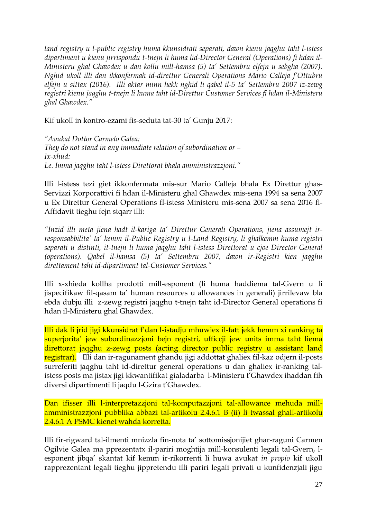*land registry u l-public registry huma kkunsidrati separati, dawn kienu jaqghu taht l-istess dipartiment u kienu jirrispondu t-tnejn li huma lid-Director General (Operations) fi hdan il-Ministeru ghal Ghawdex u dan kollu mill-hamsa (5) ta' Settembru elfejn u sebgha (2007). Nghid ukoll illi dan ikkonfermah id-direttur Generali Operations Mario Calleja f'Ottubru elfejn u sittax (2016). Illi aktar minn hekk nghid li qabel il-5 ta' Settembru 2007 iz-zewg registri kienu jaqghu t-tnejn li huma taht id-Direttur Customer Services fi hdan il-Ministeru ghal Ghawdex."* 

Kif ukoll in kontro-ezami fis-seduta tat-30 ta' Gunju 2017:

*"Avukat Dottor Carmelo Galea: They do not stand in any immediate relation of subordination or – Ix-xhud: Le. Imma jaqghu taht l-istess Direttorat bhala amministrazzjoni."*

Illi l-istess tezi giet ikkonfermata mis-sur Mario Calleja bhala Ex Direttur ghas-Servizzi Korporattivi fi hdan il-Ministeru ghal Ghawdex mis-sena 1994 sa sena 2007 u Ex Direttur General Operations fl-istess Ministeru mis-sena 2007 sa sena 2016 fl-Affidavit tieghu fejn stqarr illi:

*"Inzid illi meta jiena hadt il-kariga ta' Direttur Generali Operations, jiena assumejt irresponsabbilita' ta' kemm il-Public Registry u l-Land Registry, li ghalkemm huma registri separati u distinti, it-tnejn li huma jaqghu taht l-istess Direttorat u cjoe Director General (operations). Qabel il-hamsa (5) ta' Settembru 2007, dawn ir-Registri kien jaqghu direttament taht id-dipartiment tal-Customer Services."*

Illi x-xhieda kollha prodotti mill-esponent (li huma haddiema tal-Gvern u li jispecifikaw fil-qasam ta' human resources u allowances in generali) jirrilevaw bla ebda dubju illi z-zewg registri jaqghu t-tnejn taht id-Director General operations fi hdan il-Ministeru ghal Ghawdex.

Illi dak li jrid jigi kkunsidrat f'dan l-istadju mhuwiex il-fatt jekk hemm xi ranking ta superjorita' jew subordinazzjoni bejn registri, ufficcji jew units imma taht liema direttorat jaqghu z-zewg posts (acting director public registry u assistant land registrar). Illi dan ir-ragunament ghandu jigi addottat ghaliex fil-kaz odjern il-posts surreferiti jaqghu taht id-direttur general operations u dan ghaliex ir-ranking talistess posts ma jistax jigi kkwantifikat gialadarba l-Ministeru t'Ghawdex ihaddan fih diversi dipartimenti li jaqdu l-Gzira t'Ghawdex.

Dan ifisser illi l-interpretazzjoni tal-komputazzjoni tal-allowance mehuda millamministrazzjoni pubblika abbazi tal-artikolu 2.4.6.1 B (ii) li twassal ghall-artikolu 2.4.6.1 A PSMC kienet wahda korretta.

Illi fir-rigward tal-ilmenti mnizzla fin-nota ta' sottomissjonijiet ghar-raguni Carmen Ogilvie Galea ma pprezentatx il-pariri moghtija mill-konsulenti legali tal-Gvern, lesponent jibqa' skantat kif kemm ir-rikorrenti li huwa avukat *in propio* kif ukoll rapprezentant legali tieghu jippretendu illi pariri legali privati u kunfidenzjali jigu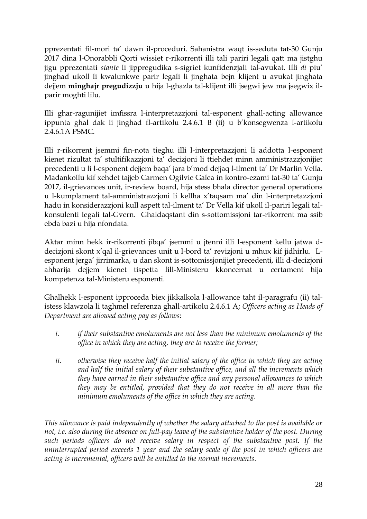pprezentati fil-mori ta' dawn il-proceduri. Sahanistra waqt is-seduta tat-30 Gunju 2017 dina l-Onorabbli Qorti wissiet r-rikorrenti illi tali pariri legali qatt ma jistghu jigu pprezentati *stante* li jippregudika s-sigriet kunfidenzjali tal-avukat. Illi *di* piu' jinghad ukoll li kwalunkwe parir legali li jinghata bejn klijent u avukat jinghata dejjem **minghajr pregudizzju** u hija l-ghazla tal-klijent illi jsegwi jew ma jsegwix ilparir moghti lilu.

Illi ghar-ragunijiet imfissra l-interpretazzjoni tal-esponent ghall-acting allowance ippunta ghal dak li jinghad fl-artikolu 2.4.6.1 B (ii) u b'konsegwenza l-artikolu 2.4.6.1A PSMC.

Illi r-rikorrent jsemmi fin-nota tieghu illi l-interpretazzjoni li addotta l-esponent kienet rizultat ta' stultifikazzjoni ta' decizjoni li ttiehdet minn amministrazzjonijiet precedenti u li l-esponent dejjem baqa' jara b'mod dejjaq l-ilment ta' Dr Marlin Vella. Madankollu kif xehdet tajjeb Carmen Ogilvie Galea in kontro-ezami tat-30 ta' Gunju 2017, il-grievances unit, ir-review board, hija stess bhala director general operations u l-kumplament tal-amministrazzjoni li kellha x'taqsam ma' din l-interpretazzjoni hadu in konsiderazzjoni kull aspett tal-ilment ta' Dr Vella kif ukoll il-pariri legali talkonsulenti legali tal-Gvern. Ghaldaqstant din s-sottomissjoni tar-rikorrent ma ssib ebda bazi u hija nfondata.

Aktar minn hekk ir-rikorrenti jibqa' jsemmi u jtenni illi l-esponent kellu jatwa ddecizjoni skont x'qal il-grievances unit u l-bord ta' revizjoni u mhux kif jidhirlu. Lesponent jerga' jirrimarka, u dan skont is-sottomissjonijiet precedenti, illi d-decizjoni ahharija dejjem kienet tispetta lill-Ministeru kkoncernat u certament hija kompetenza tal-Ministeru esponenti.

Ghalhekk l-esponent ipproceda biex jikkalkola l-allowance taht il-paragrafu (ii) talistess klawzola li taghmel referenza ghall-artikolu 2.4.6.1 A; *Officers acting as Heads of Department are allowed acting pay as follows*:

- *i. if their substantive emoluments are not less than the minimum emoluments of the office in which they are acting, they are to receive the former;*
- *ii. otherwise they receive half the initial salary of the office in which they are acting and half the initial salary of their substantive office, and all the increments which they have earned in their substantive office and any personal allowances to which they may be entitled, provided that they do not receive in all more than the minimum emoluments of the office in which they are acting.*

*This allowance is paid independently of whether the salary attached to the post is available or not, i.e. also during the absence on full-pay leave of the substantive holder of the post. During such periods officers do not receive salary in respect of the substantive post. If the uninterrupted period exceeds 1 year and the salary scale of the post in which officers are acting is incremental, officers will be entitled to the normal increments.*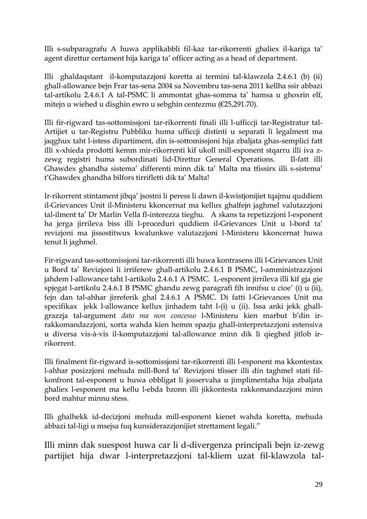Illi s-subparagrafu A huwa applikabbli fil-kaz tar-rikorrenti ghaliex il-kariga ta' agent direttur certament hija kariga ta' officer acting as a head of department.

Illi ghaldaqstant il-komputazzjoni koretta ai termini tal-klawzola 2.4.6.1 (b) (ii) ghall-allowance bejn Frar tas-sena 2004 sa Novembru tas-sena 2011 kellha ssir abbazi tal-artikolu 2.4.6.1 A tal-PSMC li ammontat ghas-somma ta' hamsa u ghoxrin elf, mitejn u wiehed u disghin ewro u sebghin centezmu (€25,291.70).

Illi fir-rigward tas-sottomissjoni tar-rikorrenti finali illi l-ufficcji tar-Registratur tal-Artijiet u tar-Registru Pubbliku huma ufficcji distinti u separati li legalment ma jaqghux taht l-istess dipartiment, din is-sottomissjoni hija zbaljata ghas-semplici fatt illi x-xhieda prodotti kemm mir-rikorrenti kif ukoll mill-esponent stqarru illi iva zzewg registri huma subordinati lid-Direttur General Operations. Il-fatt illi Ghawdex ghandha sistema' differenti minn dik ta' Malta ma tfissirx illi s-sistema' t'Ghawdex ghandha bilfors tirrifletti dik ta' Malta!

Ir-rikorrent stintament jibqa' jsostni li peress li dawn il-kwistjonijiet tqajmu quddiem il-Grievances Unit il-Ministeru kkoncernat ma kellux ghalfejn jaghmel valutazzjoni tal-ilment ta' Dr Marlin Vella fl-interezza tieghu. A skans ta repetizzjoni l-esponent ha jerga jirrileva biss illi l-proceduri quddiem il-Grievances Unit u l-bord ta' revizjoni ma jissostitwux kwalunkwe valutazzjoni l-Ministeru kkoncernat huwa tenut li jaghmel.

Fir-rigward tas-sottomissjoni tar-rikorrenti illi huwa kontrasens illi l-Grievances Unit u Bord ta' Revizjoni li irriferew ghall-artikolu 2.4.6.1 B PSMC, l-amministrazzjoni jahdem l-allowance taht l-artikolu 2.4.6.1 A PSMC. L-esponent jirrileva illi kif gja gie spjegat l-artikolu 2.4.6.1 B PSMC ghandu zewg paragrafi fih innifsu u cioe' (i) u (ii), fejn dan tal-ahhar jirreferik ghal 2.4.6.1 A PSMC. Di fatti l-Grievances Unit ma specifikax jekk l-allowance kellux jinhadem taht l-(i) u (ii). Issa anki jekk ghallgrazzja tal-argument *dato ma non concesso* l-Ministeru kien marbut b'din irrakkomandazzjoni, xorta wahda kien hemm spazju ghall-interpretazzjoni estensiva u diversa vis-à-vis il-komputazzjoni tal-allowance minn dik li qieghed jitlob irrikorrent.

Illi finalment fir-rigward is-sottomissjoni tar-rikorrenti illi l-esponent ma kkontestax l-ahhar posizzjoni mehuda mill-Bord ta' Revizjoni tfisser illi din taghmel stati filkonfront tal-esponent u huwa obbligat li josservaha u jimplimentaha hija zbaljata ghaliex l-esponent ma kellu l-ebda bzonn illi jikkontesta rakkomandazzjoni minn bord mahtur minnu stess.

Illi ghalhekk id-decizjoni mehuda mill-esponent kienet wahda koretta, mehuda abbazi tal-ligi u msejsa fuq kunsiderazzjonijiet strettament legali."

Illi minn dak suespost huwa car li d-divergenza principali bejn iz-zewg partijiet hija dwar l-interpretazzjoni tal-kliem uzat fil-klawzola tal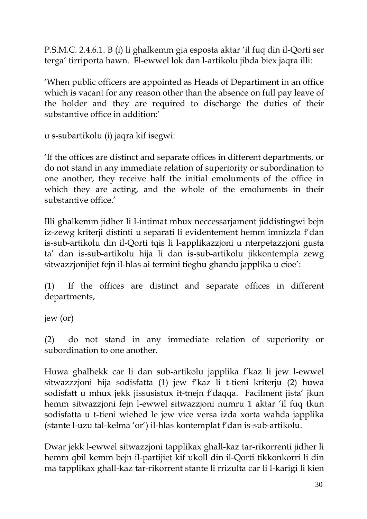P.S.M.C. 2.4.6.1. B (i) li ghalkemm gia esposta aktar 'il fuq din il-Qorti ser terga' tirriporta hawn. Fl-ewwel lok dan l-artikolu jibda biex jaqra illi:

'When public officers are appointed as Heads of Departiment in an office which is vacant for any reason other than the absence on full pay leave of the holder and they are required to discharge the duties of their substantive office in addition:'

u s-subartikolu (i) jaqra kif isegwi:

'If the offices are distinct and separate offices in different departments, or do not stand in any immediate relation of superiority or subordination to one another, they receive half the initial emoluments of the office in which they are acting, and the whole of the emoluments in their substantive office.'

Illi ghalkemm jidher li l-intimat mhux neccessarjament jiddistingwi bejn iz-zewg kriterji distinti u separati li evidentement hemm imnizzla f'dan is-sub-artikolu din il-Qorti tqis li l-applikazzjoni u nterpetazzjoni gusta ta' dan is-sub-artikolu hija li dan is-sub-artikolu jikkontempla zewg sitwazzjonijiet fejn il-hlas ai termini tieghu ghandu japplika u cioe':

(1) If the offices are distinct and separate offices in different departments,

jew (or)

(2) do not stand in any immediate relation of superiority or subordination to one another.

Huwa ghalhekk car li dan sub-artikolu japplika f'kaz li jew l-ewwel sitwazzzjoni hija sodisfatta (1) jew f'kaz li t-tieni kriterju (2) huwa sodisfatt u mhux jekk jissusistux it-tnejn f'daqqa. Facilment jista' jkun hemm sitwazzjoni fejn l-ewwel sitwazzjoni numru 1 aktar 'il fuq tkun sodisfatta u t-tieni wiehed le jew vice versa izda xorta wahda japplika (stante l-uzu tal-kelma 'or') il-hlas kontemplat f'dan is-sub-artikolu.

Dwar jekk l-ewwel sitwazzjoni tapplikax ghall-kaz tar-rikorrenti jidher li hemm qbil kemm bejn il-partijiet kif ukoll din il-Qorti tikkonkorri li din ma tapplikax ghall-kaz tar-rikorrent stante li rrizulta car li l-karigi li kien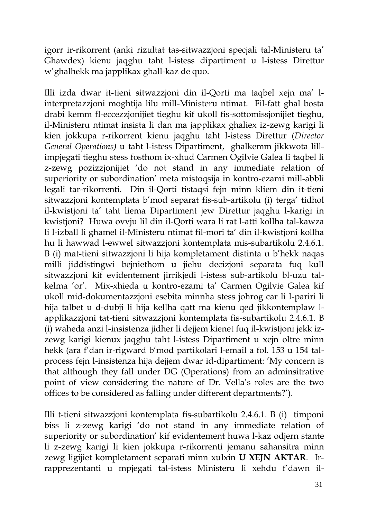igorr ir-rikorrent (anki rizultat tas-sitwazzjoni specjali tal-Ministeru ta' Ghawdex) kienu jaqghu taht l-istess dipartiment u l-istess Direttur w'ghalhekk ma japplikax ghall-kaz de quo.

Illi izda dwar it-tieni sitwazzjoni din il-Qorti ma taqbel xejn ma' linterpretazzjoni moghtija lilu mill-Ministeru ntimat. Fil-fatt ghal bosta drabi kemm fl-eccezzjonijiet tieghu kif ukoll fis-sottomissjonijiet tieghu, il-Ministeru ntimat insista li dan ma japplikax ghaliex iz-zewg karigi li kien jokkupa r-rikorrent kienu jaqghu taht l-istess Direttur (*Director General Operations)* u taht l-istess Dipartiment, ghalkemm jikkwota lillimpjegati tieghu stess fosthom ix-xhud Carmen Ogilvie Galea li taqbel li z-zewg pozizzjonijiet 'do not stand in any immediate relation of superiority or subordination' meta mistoqsija in kontro-ezami mill-abbli legali tar-rikorrenti. Din il-Qorti tistaqsi fejn minn kliem din it-tieni sitwazzjoni kontemplata b'mod separat fis-sub-artikolu (i) terga' tidhol il-kwistjoni ta' taht liema Dipartiment jew Direttur jaqghu l-karigi in kwistjoni? Huwa ovvju lil din il-Qorti wara li rat l-atti kollha tal-kawza li l-izball li ghamel il-Ministeru ntimat fil-mori ta' din il-kwistjoni kollha hu li hawwad l-ewwel sitwazzjoni kontemplata mis-subartikolu 2.4.6.1. B (i) mat-tieni sitwazzjoni li hija kompletament distinta u b'hekk naqas milli jiddistingwi bejniethom u jiehu decizjoni separata fuq kull sitwazzjoni kif evidentement jirrikjedi l-istess sub-artikolu bl-uzu talkelma 'or'. Mix-xhieda u kontro-ezami ta' Carmen Ogilvie Galea kif ukoll mid-dokumentazzjoni esebita minnha stess johrog car li l-pariri li hija talbet u d-dubji li hija kellha qatt ma kienu qed jikkontemplaw lapplikazzjoni tat-tieni sitwazzjoni kontemplata fis-subartikolu 2.4.6.1. B (i) waheda anzi l-insistenza jidher li dejjem kienet fuq il-kwistjoni jekk izzewg karigi kienux jaqghu taht l-istess Dipartiment u xejn oltre minn hekk (ara f'dan ir-rigward b'mod partikolari l-email a fol. 153 u 154 talprocess fejn l-insistenza hija dejjem dwar id-dipartiment: 'My concern is that although they fall under DG (Operations) from an adminsitrative point of view considering the nature of Dr. Vella's roles are the two offices to be considered as falling under different departments?').

Illi t-tieni sitwazzjoni kontemplata fis-subartikolu 2.4.6.1. B (i) timponi biss li z-zewg karigi 'do not stand in any immediate relation of superiority or subordination' kif evidentement huwa l-kaz odjern stante li z-zewg karigi li kien jokkupa r-rikorrenti jemanu sahansitra minn zewg ligijiet kompletament separati minn xulxin **U XEJN AKTAR**. Irrapprezentanti u mpjegati tal-istess Ministeru li xehdu f'dawn il-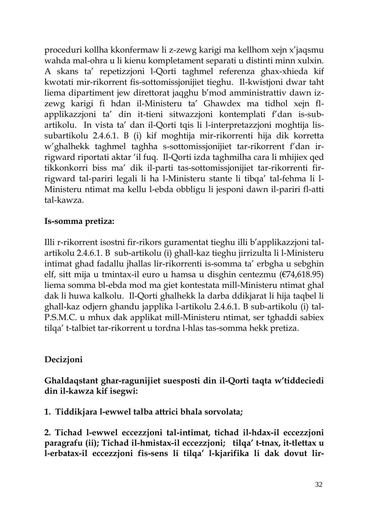proceduri kollha kkonfermaw li z-zewg karigi ma kellhom xejn x'jaqsmu wahda mal-ohra u li kienu kompletament separati u distinti minn xulxin. A skans ta' repetizzjoni l-Qorti taghmel referenza ghax-xhieda kif kwotati mir-rikorrent fis-sottomissjonijiet tieghu. Il-kwistjoni dwar taht liema dipartiment jew direttorat jaqghu b'mod amministrattiv dawn izzewg karigi fi hdan il-Ministeru ta' Ghawdex ma tidhol xejn flapplikazzjoni ta' din it-tieni sitwazzjoni kontemplati f'dan is-subartikolu. In vista ta' dan il-Qorti tqis li l-interpretazzjoni moghtija lissubartikolu 2.4.6.1. B (i) kif moghtija mir-rikorrenti hija dik korretta w'ghalhekk taghmel taghha s-sottomissjonijiet tar-rikorrent f'dan irrigward riportati aktar 'il fuq. Il-Qorti izda taghmilha cara li mhijiex qed tikkonkorri biss ma' dik il-parti tas-sottomissjonijiet tar-rikorrenti firrigward tal-pariri legali li ha l-Ministeru stante li tibqa' tal-fehma li l-Ministeru ntimat ma kellu l-ebda obbligu li jesponi dawn il-pariri fl-atti tal-kawza.

### **Is-somma pretiza:**

Illi r-rikorrent isostni fir-rikors guramentat tieghu illi b'applikazzjoni talartikolu 2.4.6.1. B sub-artikolu (i) ghall-kaz tieghu jirrizulta li l-Ministeru intimat ghad fadallu jhallas lir-rikorrenti is-somma ta' erbgha u sebghin elf, sitt mija u tmintax-il euro u hamsa u disghin centezmu (€74,618.95) liema somma bl-ebda mod ma giet kontestata mill-Ministeru ntimat ghal dak li huwa kalkolu. Il-Qorti ghalhekk la darba ddikjarat li hija taqbel li ghall-kaz odjern ghandu japplika l-artikolu 2.4.6.1. B sub-artikolu (i) tal-P.S.M.C. u mhux dak applikat mill-Ministeru ntimat, ser tghaddi sabiex tilqa' t-talbiet tar-rikorrent u tordna l-hlas tas-somma hekk pretiza.

## **Decizjoni**

**Ghaldaqstant ghar-ragunijiet suesposti din il-Qorti taqta w'tiddeciedi din il-kawza kif isegwi:**

**1. Tiddikjara l-ewwel talba attrici bhala sorvolata;**

**2. Tichad l-ewwel eccezzjoni tal-intimat, tichad il-hdax-il eccezzjoni paragrafu (ii); Tichad il-hmistax-il eccezzjoni; tilqa' t-tnax, it-tlettax u l-erbatax-il eccezzjoni fis-sens li tilqa' l-kjarifika li dak dovut lir-**